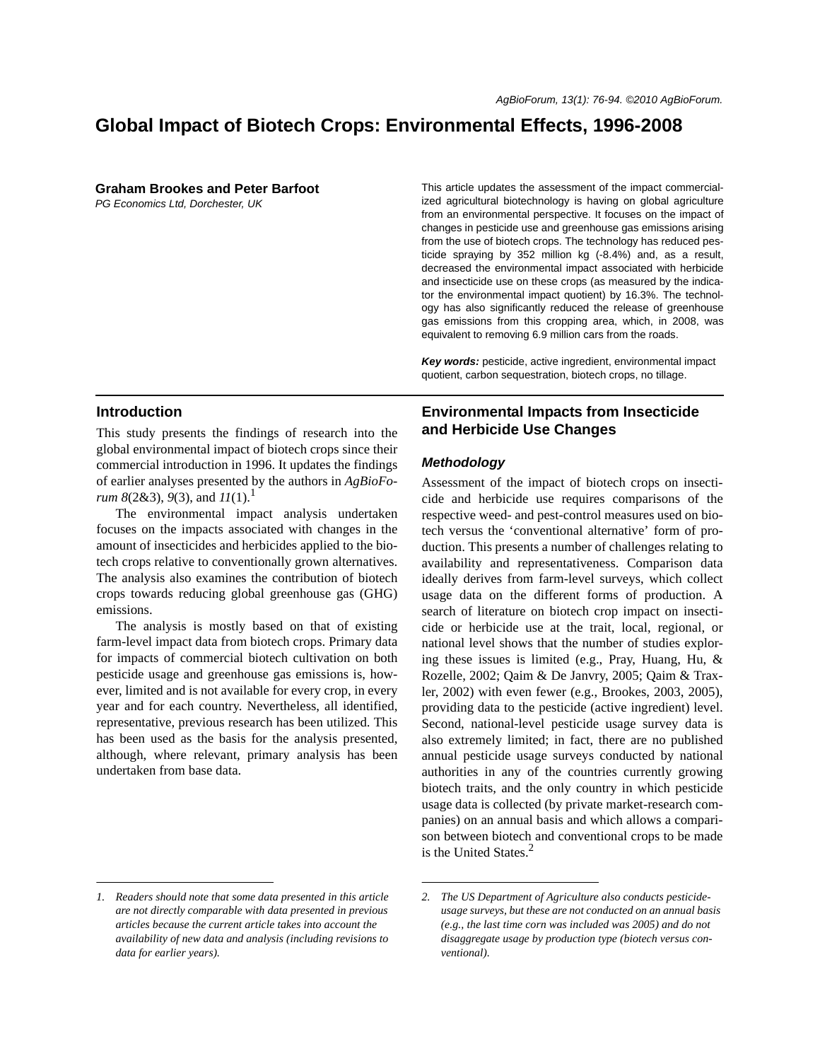# **Global Impact of Biotech Crops: Environmental Effects, 1996-2008**

**Graham Brookes and Peter Barfoot**

*PG Economics Ltd, Dorchester, UK*

This article updates the assessment of the impact commercialized agricultural biotechnology is having on global agriculture from an environmental perspective. It focuses on the impact of changes in pesticide use and greenhouse gas emissions arising from the use of biotech crops. The technology has reduced pesticide spraying by 352 million kg (-8.4%) and, as a result, decreased the environmental impact associated with herbicide and insecticide use on these crops (as measured by the indicator the environmental impact quotient) by 16.3%. The technology has also significantly reduced the release of greenhouse gas emissions from this cropping area, which, in 2008, was equivalent to removing 6.9 million cars from the roads.

*Key words:* pesticide, active ingredient, environmental impact quotient, carbon sequestration, biotech crops, no tillage.

## **Introduction**

This study presents the findings of research into the global environmental impact of biotech crops since their commercial introduction in 1996. It updates the findings of earlier analyses presented by the authors in *AgBioForum*  $8(2&3)$ ,  $9(3)$ , and  $11(1)$ .<sup>1</sup>

The environmental impact analysis undertaken focuses on the impacts associated with changes in the amount of insecticides and herbicides applied to the biotech crops relative to conventionally grown alternatives. The analysis also examines the contribution of biotech crops towards reducing global greenhouse gas (GHG) emissions.

The analysis is mostly based on that of existing farm-level impact data from biotech crops. Primary data for impacts of commercial biotech cultivation on both pesticide usage and greenhouse gas emissions is, however, limited and is not available for every crop, in every year and for each country. Nevertheless, all identified, representative, previous research has been utilized. This has been used as the basis for the analysis presented, although, where relevant, primary analysis has been undertaken from base data.

# **Environmental Impacts from Insecticide and Herbicide Use Changes**

### *Methodology*

Assessment of the impact of biotech crops on insecticide and herbicide use requires comparisons of the respective weed- and pest-control measures used on biotech versus the 'conventional alternative' form of production. This presents a number of challenges relating to availability and representativeness. Comparison data ideally derives from farm-level surveys, which collect usage data on the different forms of production. A search of literature on biotech crop impact on insecticide or herbicide use at the trait, local, regional, or national level shows that the number of studies exploring these issues is limited (e.g., Pray, Huang, Hu, & Rozelle, 2002; Qaim & De Janvry, 2005; Qaim & Traxler, 2002) with even fewer (e.g., Brookes, 2003, 2005), providing data to the pesticide (active ingredient) level. Second, national-level pesticide usage survey data is also extremely limited; in fact, there are no published annual pesticide usage surveys conducted by national authorities in any of the countries currently growing biotech traits, and the only country in which pesticide usage data is collected (by private market-research companies) on an annual basis and which allows a comparison between biotech and conventional crops to be made is the United States. $<sup>2</sup>$ </sup>

*<sup>1.</sup> Readers should note that some data presented in this article are not directly comparable with data presented in previous articles because the current article takes into account the availability of new data and analysis (including revisions to data for earlier years).*

*<sup>2.</sup> The US Department of Agriculture also conducts pesticideusage surveys, but these are not conducted on an annual basis (e.g., the last time corn was included was 2005) and do not disaggregate usage by production type (biotech versus conventional).*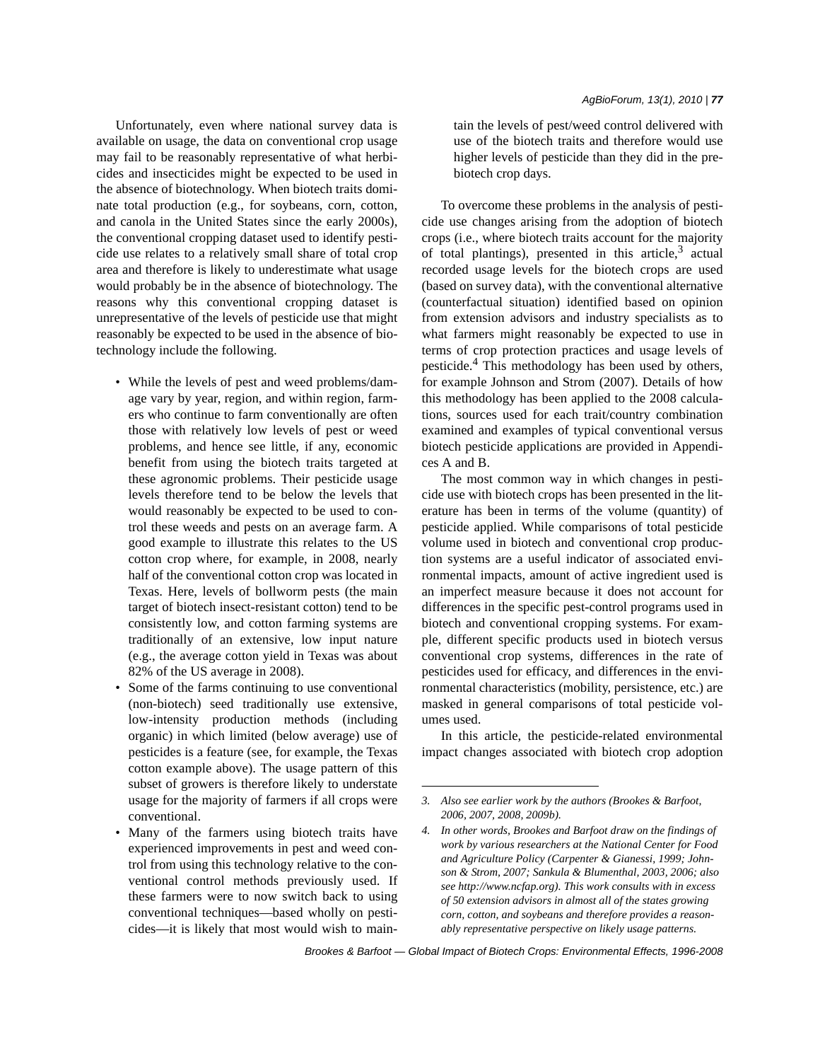Unfortunately, even where national survey data is available on usage, the data on conventional crop usage may fail to be reasonably representative of what herbicides and insecticides might be expected to be used in the absence of biotechnology. When biotech traits dominate total production (e.g., for soybeans, corn, cotton, and canola in the United States since the early 2000s), the conventional cropping dataset used to identify pesticide use relates to a relatively small share of total crop area and therefore is likely to underestimate what usage would probably be in the absence of biotechnology. The reasons why this conventional cropping dataset is unrepresentative of the levels of pesticide use that might reasonably be expected to be used in the absence of biotechnology include the following.

- While the levels of pest and weed problems/damage vary by year, region, and within region, farmers who continue to farm conventionally are often those with relatively low levels of pest or weed problems, and hence see little, if any, economic benefit from using the biotech traits targeted at these agronomic problems. Their pesticide usage levels therefore tend to be below the levels that would reasonably be expected to be used to control these weeds and pests on an average farm. A good example to illustrate this relates to the US cotton crop where, for example, in 2008, nearly half of the conventional cotton crop was located in Texas. Here, levels of bollworm pests (the main target of biotech insect-resistant cotton) tend to be consistently low, and cotton farming systems are traditionally of an extensive, low input nature (e.g., the average cotton yield in Texas was about 82% of the US average in 2008).
- Some of the farms continuing to use conventional (non-biotech) seed traditionally use extensive, low-intensity production methods (including organic) in which limited (below average) use of pesticides is a feature (see, for example, the Texas cotton example above). The usage pattern of this subset of growers is therefore likely to understate usage for the majority of farmers if all crops were conventional.
- Many of the farmers using biotech traits have experienced improvements in pest and weed control from using this technology relative to the conventional control methods previously used. If these farmers were to now switch back to using conventional techniques—based wholly on pesticides—it is likely that most would wish to main-

tain the levels of pest/weed control delivered with use of the biotech traits and therefore would use higher levels of pesticide than they did in the prebiotech crop days.

To overcome these problems in the analysis of pesticide use changes arising from the adoption of biotech crops (i.e., where biotech traits account for the majority of total plantings), presented in this article, $3$  actual recorded usage levels for the biotech crops are used (based on survey data), with the conventional alternative (counterfactual situation) identified based on opinion from extension advisors and industry specialists as to what farmers might reasonably be expected to use in terms of crop protection practices and usage levels of pesticide.<sup>4</sup> This methodology has been used by others, for example Johnson and Strom (2007). Details of how this methodology has been applied to the 2008 calculations, sources used for each trait/country combination examined and examples of typical conventional versus biotech pesticide applications are provided in Appendices A and B.

The most common way in which changes in pesticide use with biotech crops has been presented in the literature has been in terms of the volume (quantity) of pesticide applied. While comparisons of total pesticide volume used in biotech and conventional crop production systems are a useful indicator of associated environmental impacts, amount of active ingredient used is an imperfect measure because it does not account for differences in the specific pest-control programs used in biotech and conventional cropping systems. For example, different specific products used in biotech versus conventional crop systems, differences in the rate of pesticides used for efficacy, and differences in the environmental characteristics (mobility, persistence, etc.) are masked in general comparisons of total pesticide volumes used.

In this article, the pesticide-related environmental impact changes associated with biotech crop adoption

*<sup>3.</sup> Also see earlier work by the authors (Brookes & Barfoot, 2006, 2007, 2008, 2009b).*

*<sup>4.</sup> In other words, Brookes and Barfoot draw on the findings of work by various researchers at the National Center for Food and Agriculture Policy (Carpenter & Gianessi, 1999; Johnson & Strom, 2007; Sankula & Blumenthal, 2003, 2006; also see http://www.ncfap.org). This work consults with in excess of 50 extension advisors in almost all of the states growing corn, cotton, and soybeans and therefore provides a reasonably representative perspective on likely usage patterns.*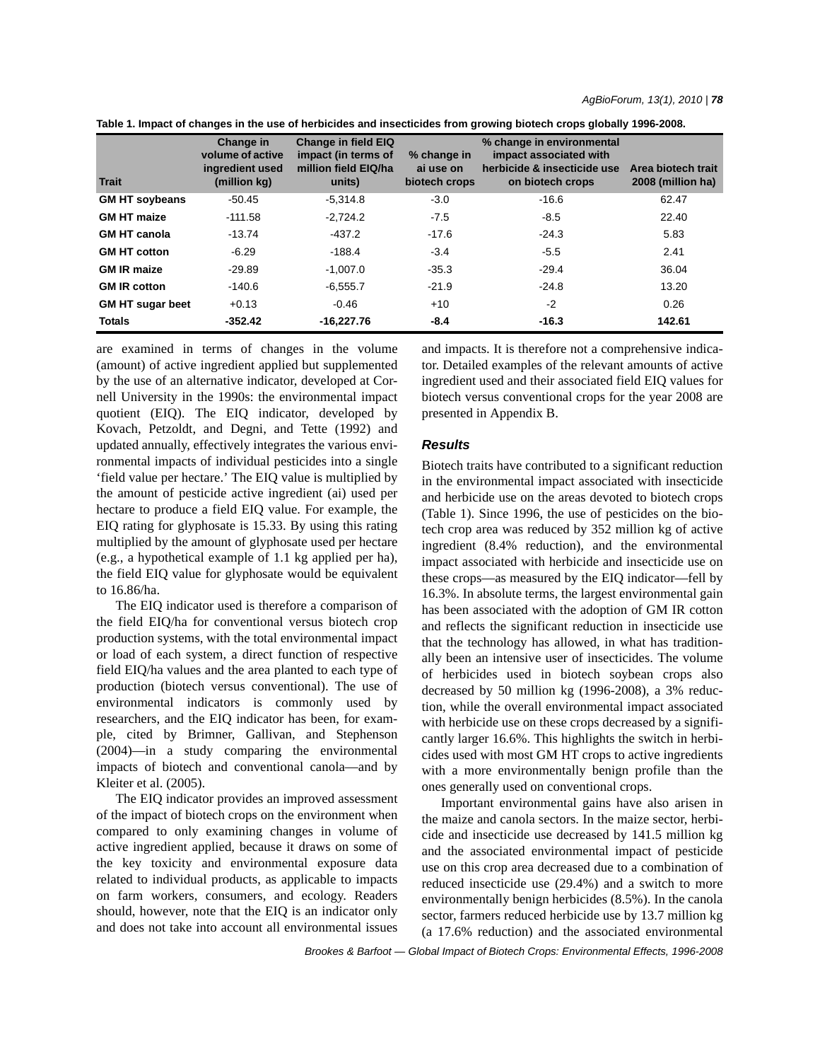| Table 1. Impact of changes in the use of herbicides and insecticides from growing biotech crops globally 1996-2008. |  |  |  |
|---------------------------------------------------------------------------------------------------------------------|--|--|--|
|---------------------------------------------------------------------------------------------------------------------|--|--|--|

| <b>Trait</b>            | Change in<br>volume of active<br>ingredient used<br>(million kg) | <b>Change in field EIQ</b><br>impact (in terms of<br>million field EIQ/ha<br>units) | % change in<br>ai use on<br>biotech crops | % change in environmental<br>impact associated with<br>herbicide & insecticide use<br>on biotech crops | Area biotech trait<br>2008 (million ha) |
|-------------------------|------------------------------------------------------------------|-------------------------------------------------------------------------------------|-------------------------------------------|--------------------------------------------------------------------------------------------------------|-----------------------------------------|
| <b>GM HT soybeans</b>   | $-50.45$                                                         | $-5.314.8$                                                                          | $-3.0$                                    | $-16.6$                                                                                                | 62.47                                   |
| <b>GM HT maize</b>      | $-111.58$                                                        | $-2.724.2$                                                                          | $-7.5$                                    | $-8.5$                                                                                                 | 22.40                                   |
| <b>GM HT canola</b>     | $-13.74$                                                         | -437.2                                                                              | $-17.6$                                   | $-24.3$                                                                                                | 5.83                                    |
| <b>GM HT cotton</b>     | $-6.29$                                                          | $-188.4$                                                                            | $-3.4$                                    | $-5.5$                                                                                                 | 2.41                                    |
| <b>GM IR maize</b>      | $-29.89$                                                         | $-1.007.0$                                                                          | $-35.3$                                   | $-29.4$                                                                                                | 36.04                                   |
| <b>GM IR cotton</b>     | $-140.6$                                                         | $-6.555.7$                                                                          | $-21.9$                                   | $-24.8$                                                                                                | 13.20                                   |
| <b>GM HT sugar beet</b> | $+0.13$                                                          | $-0.46$                                                                             | $+10$                                     | $-2$                                                                                                   | 0.26                                    |
| <b>Totals</b>           | $-352.42$                                                        | $-16.227.76$                                                                        | $-8.4$                                    | $-16.3$                                                                                                | 142.61                                  |

are examined in terms of changes in the volume (amount) of active ingredient applied but supplemented by the use of an alternative indicator, developed at Cornell University in the 1990s: the environmental impact quotient (EIQ). The EIQ indicator, developed by Kovach, Petzoldt, and Degni, and Tette (1992) and updated annually, effectively integrates the various environmental impacts of individual pesticides into a single 'field value per hectare.' The EIQ value is multiplied by the amount of pesticide active ingredient (ai) used per hectare to produce a field EIQ value. For example, the EIQ rating for glyphosate is 15.33. By using this rating multiplied by the amount of glyphosate used per hectare (e.g., a hypothetical example of 1.1 kg applied per ha), the field EIQ value for glyphosate would be equivalent to 16.86/ha.

The EIQ indicator used is therefore a comparison of the field EIQ/ha for conventional versus biotech crop production systems, with the total environmental impact or load of each system, a direct function of respective field EIQ/ha values and the area planted to each type of production (biotech versus conventional). The use of environmental indicators is commonly used by researchers, and the EIQ indicator has been, for example, cited by Brimner, Gallivan, and Stephenson (2004)—in a study comparing the environmental impacts of biotech and conventional canola—and by Kleiter et al. (2005).

The EIQ indicator provides an improved assessment of the impact of biotech crops on the environment when compared to only examining changes in volume of active ingredient applied, because it draws on some of the key toxicity and environmental exposure data related to individual products, as applicable to impacts on farm workers, consumers, and ecology. Readers should, however, note that the EIQ is an indicator only and does not take into account all environmental issues and impacts. It is therefore not a comprehensive indicator. Detailed examples of the relevant amounts of active ingredient used and their associated field EIQ values for biotech versus conventional crops for the year 2008 are presented in Appendix B.

### *Results*

Biotech traits have contributed to a significant reduction in the environmental impact associated with insecticide and herbicide use on the areas devoted to biotech crops (Table 1). Since 1996, the use of pesticides on the biotech crop area was reduced by 352 million kg of active ingredient (8.4% reduction), and the environmental impact associated with herbicide and insecticide use on these crops—as measured by the EIQ indicator—fell by 16.3%. In absolute terms, the largest environmental gain has been associated with the adoption of GM IR cotton and reflects the significant reduction in insecticide use that the technology has allowed, in what has traditionally been an intensive user of insecticides. The volume of herbicides used in biotech soybean crops also decreased by 50 million kg (1996-2008), a 3% reduction, while the overall environmental impact associated with herbicide use on these crops decreased by a significantly larger 16.6%. This highlights the switch in herbicides used with most GM HT crops to active ingredients with a more environmentally benign profile than the ones generally used on conventional crops.

Important environmental gains have also arisen in the maize and canola sectors. In the maize sector, herbicide and insecticide use decreased by 141.5 million kg and the associated environmental impact of pesticide use on this crop area decreased due to a combination of reduced insecticide use (29.4%) and a switch to more environmentally benign herbicides (8.5%). In the canola sector, farmers reduced herbicide use by 13.7 million kg (a 17.6% reduction) and the associated environmental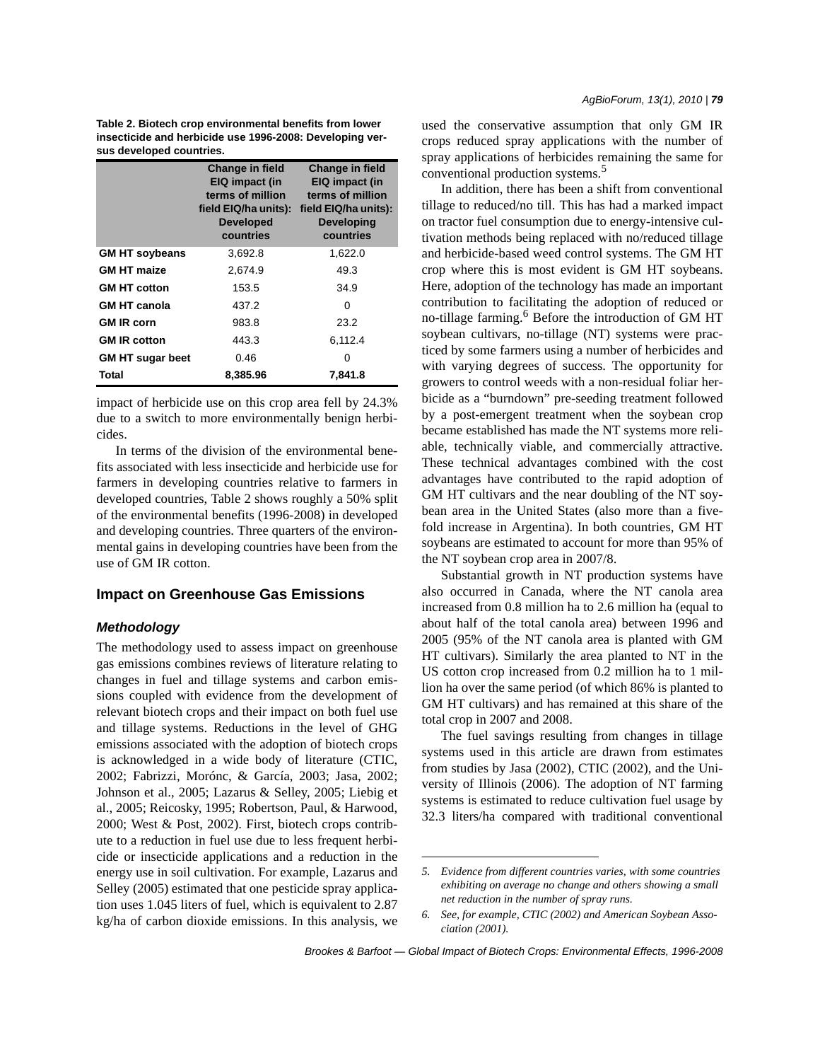**Table 2. Biotech crop environmental benefits from lower insecticide and herbicide use 1996-2008: Developing versus developed countries.**

|                         | <b>Change in field</b><br>EIQ impact (in<br>terms of million<br>field EIQ/ha units):<br><b>Developed</b><br>countries | <b>Change in field</b><br>EIQ impact (in<br>terms of million<br>field EIQ/ha units):<br><b>Developing</b><br>countries |
|-------------------------|-----------------------------------------------------------------------------------------------------------------------|------------------------------------------------------------------------------------------------------------------------|
| <b>GM HT soybeans</b>   | 3.692.8                                                                                                               | 1,622.0                                                                                                                |
| <b>GM HT maize</b>      | 2,674.9                                                                                                               | 49.3                                                                                                                   |
| <b>GM HT cotton</b>     | 153.5                                                                                                                 | 34.9                                                                                                                   |
| <b>GM HT canola</b>     | 437.2                                                                                                                 | 0                                                                                                                      |
| <b>GM IR corn</b>       | 983.8                                                                                                                 | 23.2                                                                                                                   |
| <b>GM IR cotton</b>     | 443.3                                                                                                                 | 6,112.4                                                                                                                |
| <b>GM HT sugar beet</b> | 0.46                                                                                                                  | 0                                                                                                                      |
| Total                   | 8,385.96                                                                                                              | 7,841.8                                                                                                                |

impact of herbicide use on this crop area fell by 24.3% due to a switch to more environmentally benign herbicides.

In terms of the division of the environmental benefits associated with less insecticide and herbicide use for farmers in developing countries relative to farmers in developed countries, Table 2 shows roughly a 50% split of the environmental benefits (1996-2008) in developed and developing countries. Three quarters of the environmental gains in developing countries have been from the use of GM IR cotton.

# **Impact on Greenhouse Gas Emissions**

### *Methodology*

The methodology used to assess impact on greenhouse gas emissions combines reviews of literature relating to changes in fuel and tillage systems and carbon emissions coupled with evidence from the development of relevant biotech crops and their impact on both fuel use and tillage systems. Reductions in the level of GHG emissions associated with the adoption of biotech crops is acknowledged in a wide body of literature (CTIC, 2002; Fabrizzi, Morónc, & García, 2003; Jasa, 2002; Johnson et al., 2005; Lazarus & Selley, 2005; Liebig et al., 2005; Reicosky, 1995; Robertson, Paul, & Harwood, 2000; West & Post, 2002). First, biotech crops contribute to a reduction in fuel use due to less frequent herbicide or insecticide applications and a reduction in the energy use in soil cultivation. For example, Lazarus and Selley (2005) estimated that one pesticide spray application uses 1.045 liters of fuel, which is equivalent to 2.87 kg/ha of carbon dioxide emissions. In this analysis, we used the conservative assumption that only GM IR crops reduced spray applications with the number of spray applications of herbicides remaining the same for conventional production systems.<sup>5</sup>

In addition, there has been a shift from conventional tillage to reduced/no till. This has had a marked impact on tractor fuel consumption due to energy-intensive cultivation methods being replaced with no/reduced tillage and herbicide-based weed control systems. The GM HT crop where this is most evident is GM HT soybeans. Here, adoption of the technology has made an important contribution to facilitating the adoption of reduced or no-tillage farming.<sup>6</sup> Before the introduction of GM HT soybean cultivars, no-tillage (NT) systems were practiced by some farmers using a number of herbicides and with varying degrees of success. The opportunity for growers to control weeds with a non-residual foliar herbicide as a "burndown" pre-seeding treatment followed by a post-emergent treatment when the soybean crop became established has made the NT systems more reliable, technically viable, and commercially attractive. These technical advantages combined with the cost advantages have contributed to the rapid adoption of GM HT cultivars and the near doubling of the NT soybean area in the United States (also more than a fivefold increase in Argentina). In both countries, GM HT soybeans are estimated to account for more than 95% of the NT soybean crop area in 2007/8.

Substantial growth in NT production systems have also occurred in Canada, where the NT canola area increased from 0.8 million ha to 2.6 million ha (equal to about half of the total canola area) between 1996 and 2005 (95% of the NT canola area is planted with GM HT cultivars). Similarly the area planted to NT in the US cotton crop increased from 0.2 million ha to 1 million ha over the same period (of which 86% is planted to GM HT cultivars) and has remained at this share of the total crop in 2007 and 2008.

The fuel savings resulting from changes in tillage systems used in this article are drawn from estimates from studies by Jasa (2002), CTIC (2002), and the University of Illinois (2006). The adoption of NT farming systems is estimated to reduce cultivation fuel usage by 32.3 liters/ha compared with traditional conventional

*<sup>5.</sup> Evidence from different countries varies, with some countries exhibiting on average no change and others showing a small net reduction in the number of spray runs.*

*<sup>6.</sup> See, for example, CTIC (2002) and American Soybean Association (2001).*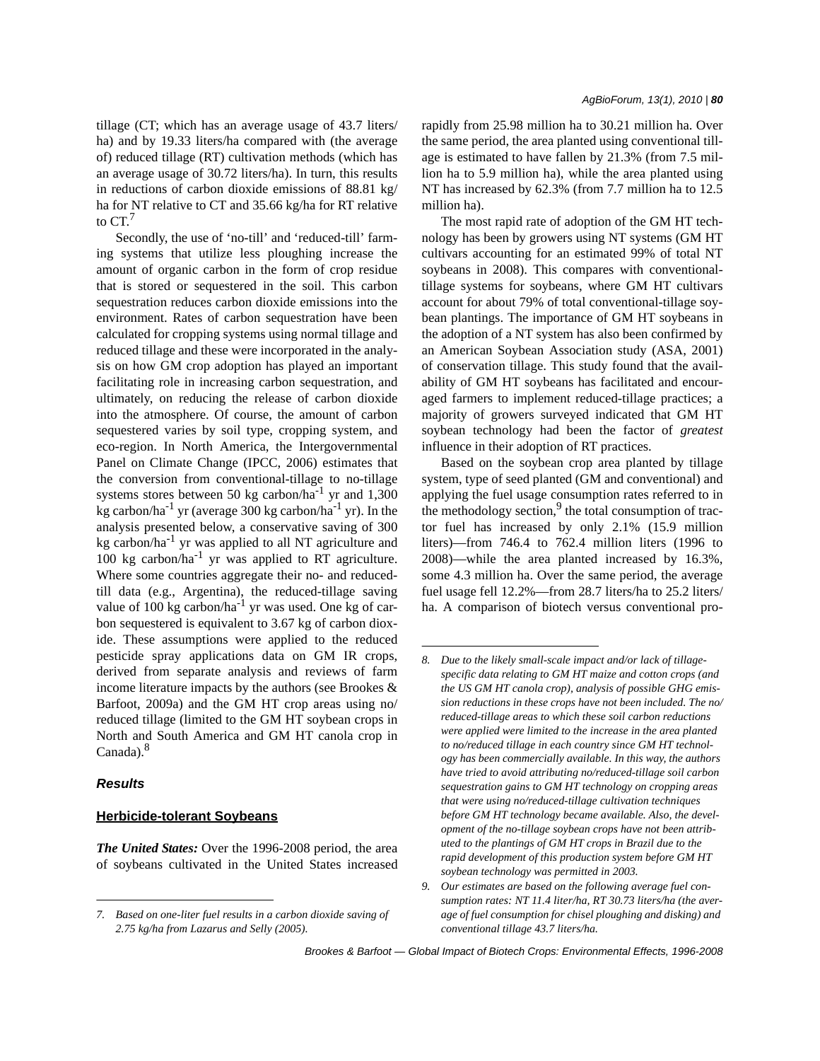tillage (CT; which has an average usage of 43.7 liters/ ha) and by 19.33 liters/ha compared with (the average of) reduced tillage (RT) cultivation methods (which has an average usage of 30.72 liters/ha). In turn, this results in reductions of carbon dioxide emissions of 88.81 kg/ ha for NT relative to CT and 35.66 kg/ha for RT relative to  $CT<sup>7</sup>$ 

Secondly, the use of 'no-till' and 'reduced-till' farming systems that utilize less ploughing increase the amount of organic carbon in the form of crop residue that is stored or sequestered in the soil. This carbon sequestration reduces carbon dioxide emissions into the environment. Rates of carbon sequestration have been calculated for cropping systems using normal tillage and reduced tillage and these were incorporated in the analysis on how GM crop adoption has played an important facilitating role in increasing carbon sequestration, and ultimately, on reducing the release of carbon dioxide into the atmosphere. Of course, the amount of carbon sequestered varies by soil type, cropping system, and eco-region. In North America, the Intergovernmental Panel on Climate Change (IPCC, 2006) estimates that the conversion from conventional-tillage to no-tillage systems stores between 50 kg carbon/ha<sup>-1</sup> yr and 1,300 kg carbon/ha<sup>-1</sup> yr (average 300 kg carbon/ha<sup>-1</sup> yr). In the analysis presented below, a conservative saving of 300 kg carbon/ha<sup>-1</sup> yr was applied to all NT agriculture and  $100 \text{ kg}$  carbon/ha<sup>-1</sup> yr was applied to RT agriculture. Where some countries aggregate their no- and reducedtill data (e.g., Argentina), the reduced-tillage saving value of 100 kg carbon/ha<sup>-1</sup> yr was used. One kg of carbon sequestered is equivalent to 3.67 kg of carbon dioxide. These assumptions were applied to the reduced pesticide spray applications data on GM IR crops, derived from separate analysis and reviews of farm income literature impacts by the authors (see Brookes & Barfoot, 2009a) and the GM HT crop areas using no/ reduced tillage (limited to the GM HT soybean crops in North and South America and GM HT canola crop in Canada).<sup>8</sup>

### *Results*

#### **Herbicide-tolerant Soybeans**

*The United States:* Over the 1996-2008 period, the area of soybeans cultivated in the United States increased rapidly from 25.98 million ha to 30.21 million ha. Over the same period, the area planted using conventional tillage is estimated to have fallen by 21.3% (from 7.5 million ha to 5.9 million ha), while the area planted using NT has increased by 62.3% (from 7.7 million ha to 12.5 million ha).

The most rapid rate of adoption of the GM HT technology has been by growers using NT systems (GM HT cultivars accounting for an estimated 99% of total NT soybeans in 2008). This compares with conventionaltillage systems for soybeans, where GM HT cultivars account for about 79% of total conventional-tillage soybean plantings. The importance of GM HT soybeans in the adoption of a NT system has also been confirmed by an American Soybean Association study (ASA, 2001) of conservation tillage. This study found that the availability of GM HT soybeans has facilitated and encouraged farmers to implement reduced-tillage practices; a majority of growers surveyed indicated that GM HT soybean technology had been the factor of *greatest* influence in their adoption of RT practices.

Based on the soybean crop area planted by tillage system, type of seed planted (GM and conventional) and applying the fuel usage consumption rates referred to in the methodology section, $9$  the total consumption of tractor fuel has increased by only 2.1% (15.9 million liters)—from 746.4 to 762.4 million liters (1996 to 2008)—while the area planted increased by 16.3%, some 4.3 million ha. Over the same period, the average fuel usage fell 12.2%—from 28.7 liters/ha to 25.2 liters/ ha. A comparison of biotech versus conventional pro-

*<sup>7.</sup> Based on one-liter fuel results in a carbon dioxide saving of 2.75 kg/ha from Lazarus and Selly (2005).*

*<sup>8.</sup> Due to the likely small-scale impact and/or lack of tillagespecific data relating to GM HT maize and cotton crops (and the US GM HT canola crop), analysis of possible GHG emission reductions in these crops have not been included. The no/ reduced-tillage areas to which these soil carbon reductions were applied were limited to the increase in the area planted to no/reduced tillage in each country since GM HT technology has been commercially available. In this way, the authors have tried to avoid attributing no/reduced-tillage soil carbon sequestration gains to GM HT technology on cropping areas that were using no/reduced-tillage cultivation techniques before GM HT technology became available. Also, the development of the no-tillage soybean crops have not been attributed to the plantings of GM HT crops in Brazil due to the rapid development of this production system before GM HT soybean technology was permitted in 2003.*

*<sup>9.</sup> Our estimates are based on the following average fuel consumption rates: NT 11.4 liter/ha, RT 30.73 liters/ha (the average of fuel consumption for chisel ploughing and disking) and conventional tillage 43.7 liters/ha.*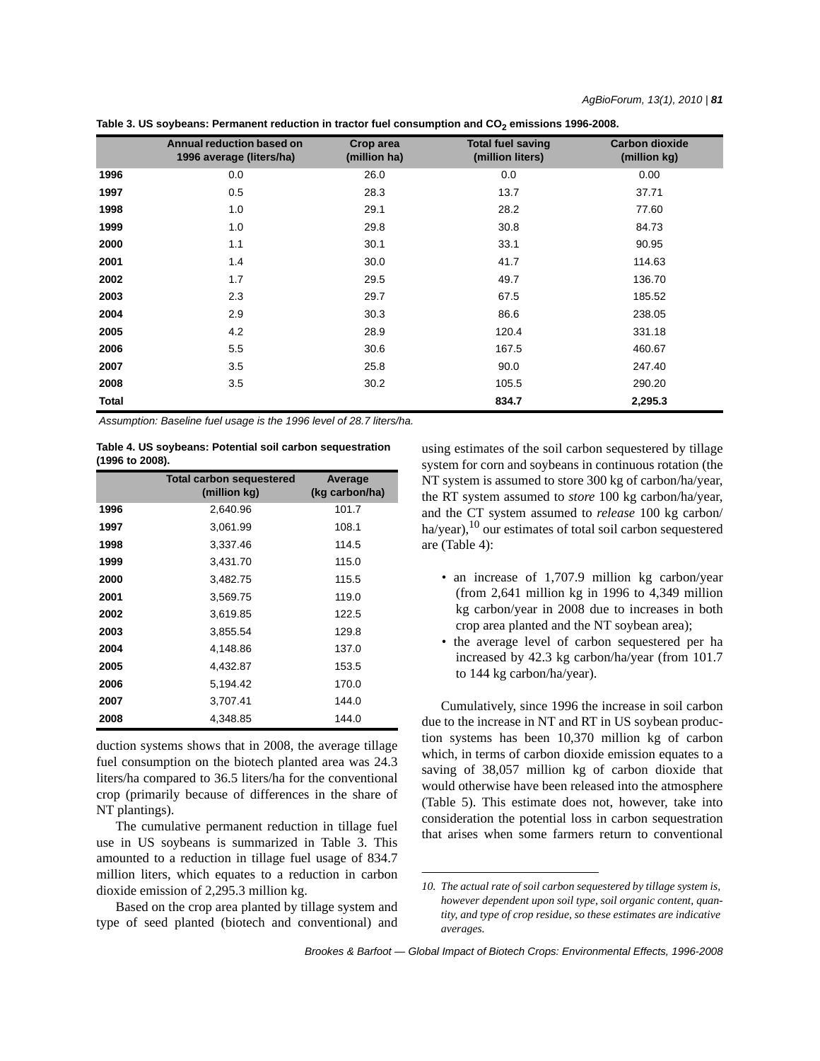| Table 3. US soybeans: Permanent reduction in tractor fuel consumption and CO $_2$ emissions 1996-2008. |  |  |
|--------------------------------------------------------------------------------------------------------|--|--|
|--------------------------------------------------------------------------------------------------------|--|--|

|       | Annual reduction based on<br>1996 average (liters/ha) | Crop area<br>(million ha) | <b>Total fuel saving</b><br>(million liters) | <b>Carbon dioxide</b><br>(million kg) |
|-------|-------------------------------------------------------|---------------------------|----------------------------------------------|---------------------------------------|
| 1996  | 0.0                                                   | 26.0                      | 0.0                                          | 0.00                                  |
| 1997  | 0.5                                                   | 28.3                      | 13.7                                         | 37.71                                 |
| 1998  | 1.0                                                   | 29.1                      | 28.2                                         | 77.60                                 |
| 1999  | 1.0                                                   | 29.8                      | 30.8                                         | 84.73                                 |
| 2000  | 1.1                                                   | 30.1                      | 33.1                                         | 90.95                                 |
| 2001  | 1.4                                                   | 30.0                      | 41.7                                         | 114.63                                |
| 2002  | 1.7                                                   | 29.5                      | 49.7                                         | 136.70                                |
| 2003  | 2.3                                                   | 29.7                      | 67.5                                         | 185.52                                |
| 2004  | 2.9                                                   | 30.3                      | 86.6                                         | 238.05                                |
| 2005  | 4.2                                                   | 28.9                      | 120.4                                        | 331.18                                |
| 2006  | 5.5                                                   | 30.6                      | 167.5                                        | 460.67                                |
| 2007  | 3.5                                                   | 25.8                      | 90.0                                         | 247.40                                |
| 2008  | 3.5                                                   | 30.2                      | 105.5                                        | 290.20                                |
| Total |                                                       |                           | 834.7                                        | 2,295.3                               |

*Assumption: Baseline fuel usage is the 1996 level of 28.7 liters/ha.*

|                 | Table 4. US soybeans: Potential soil carbon sequestration |  |
|-----------------|-----------------------------------------------------------|--|
| (1996 to 2008). |                                                           |  |

|      | <b>Total carbon sequestered</b><br>(million kg) | Average<br>(kg carbon/ha) |
|------|-------------------------------------------------|---------------------------|
| 1996 | 2,640.96                                        | 101.7                     |
| 1997 | 3,061.99                                        | 108.1                     |
| 1998 | 3,337.46                                        | 114.5                     |
| 1999 | 3,431.70                                        | 115.0                     |
| 2000 | 3.482.75                                        | 115.5                     |
| 2001 | 3,569.75                                        | 119.0                     |
| 2002 | 3,619.85                                        | 122.5                     |
| 2003 | 3.855.54                                        | 129.8                     |
| 2004 | 4,148.86                                        | 137.0                     |
| 2005 | 4,432.87                                        | 153.5                     |
| 2006 | 5,194.42                                        | 170.0                     |
| 2007 | 3,707.41                                        | 144.0                     |
| 2008 | 4,348.85                                        | 144.0                     |

duction systems shows that in 2008, the average tillage fuel consumption on the biotech planted area was 24.3 liters/ha compared to 36.5 liters/ha for the conventional crop (primarily because of differences in the share of NT plantings).

The cumulative permanent reduction in tillage fuel use in US soybeans is summarized in Table 3. This amounted to a reduction in tillage fuel usage of 834.7 million liters, which equates to a reduction in carbon dioxide emission of 2,295.3 million kg.

Based on the crop area planted by tillage system and type of seed planted (biotech and conventional) and using estimates of the soil carbon sequestered by tillage system for corn and soybeans in continuous rotation (the NT system is assumed to store 300 kg of carbon/ha/year, the RT system assumed to *store* 100 kg carbon/ha/year, and the CT system assumed to *release* 100 kg carbon/ ha/year),<sup>10</sup> our estimates of total soil carbon sequestered are (Table 4):

- an increase of 1,707.9 million kg carbon/year (from  $2,641$  million kg in 1996 to  $4,349$  million kg carbon/year in 2008 due to increases in both crop area planted and the NT soybean area);
- the average level of carbon sequestered per ha increased by 42.3 kg carbon/ha/year (from 101.7 to 144 kg carbon/ha/year).

Cumulatively, since 1996 the increase in soil carbon due to the increase in NT and RT in US soybean production systems has been 10,370 million kg of carbon which, in terms of carbon dioxide emission equates to a saving of 38,057 million kg of carbon dioxide that would otherwise have been released into the atmosphere (Table 5). This estimate does not, however, take into consideration the potential loss in carbon sequestration that arises when some farmers return to conventional

*<sup>10.</sup> The actual rate of soil carbon sequestered by tillage system is, however dependent upon soil type, soil organic content, quantity, and type of crop residue, so these estimates are indicative averages.*

*Brookes & Barfoot — Global Impact of Biotech Crops: Environmental Effects, 1996-2008*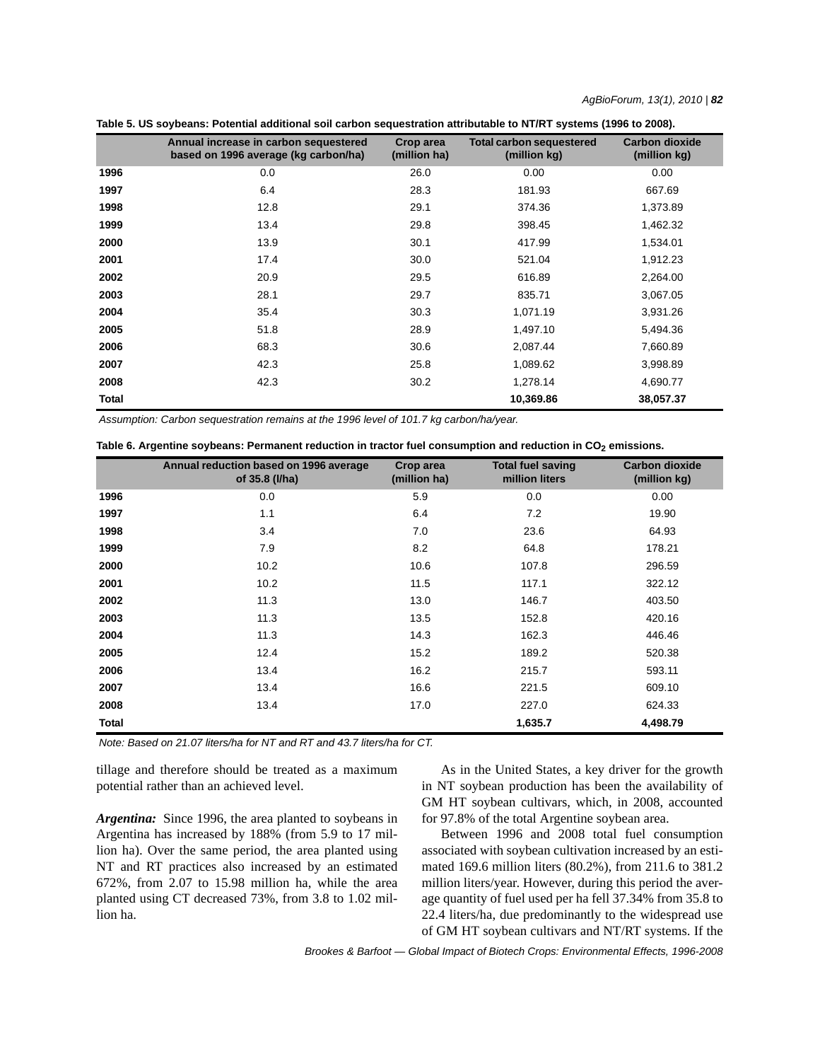|       | Annual increase in carbon sequestered<br>based on 1996 average (kg carbon/ha) | Crop area<br>(million ha) | <b>Total carbon sequestered</b><br>(million kg) | <b>Carbon dioxide</b><br>(million kg) |
|-------|-------------------------------------------------------------------------------|---------------------------|-------------------------------------------------|---------------------------------------|
| 1996  | 0.0                                                                           | 26.0                      | 0.00                                            | 0.00                                  |
| 1997  | 6.4                                                                           | 28.3                      | 181.93                                          | 667.69                                |
| 1998  | 12.8                                                                          | 29.1                      | 374.36                                          | 1,373.89                              |
| 1999  | 13.4                                                                          | 29.8                      | 398.45                                          | 1,462.32                              |
| 2000  | 13.9                                                                          | 30.1                      | 417.99                                          | 1,534.01                              |
| 2001  | 17.4                                                                          | 30.0                      | 521.04                                          | 1,912.23                              |
| 2002  | 20.9                                                                          | 29.5                      | 616.89                                          | 2,264.00                              |
| 2003  | 28.1                                                                          | 29.7                      | 835.71                                          | 3,067.05                              |
| 2004  | 35.4                                                                          | 30.3                      | 1,071.19                                        | 3,931.26                              |
| 2005  | 51.8                                                                          | 28.9                      | 1,497.10                                        | 5,494.36                              |
| 2006  | 68.3                                                                          | 30.6                      | 2,087.44                                        | 7,660.89                              |
| 2007  | 42.3                                                                          | 25.8                      | 1,089.62                                        | 3,998.89                              |
| 2008  | 42.3                                                                          | 30.2                      | 1,278.14                                        | 4,690.77                              |
| Total |                                                                               |                           | 10,369.86                                       | 38,057.37                             |

| Table 5. US soybeans: Potential additional soil carbon sequestration attributable to NT/RT systems (1996 to 2008). |  |  |  |
|--------------------------------------------------------------------------------------------------------------------|--|--|--|
|--------------------------------------------------------------------------------------------------------------------|--|--|--|

*Assumption: Carbon sequestration remains at the 1996 level of 101.7 kg carbon/ha/year.*

| Table 6. Argentine soybeans: Permanent reduction in tractor fuel consumption and reduction in CO <sub>2</sub> emissions. |  |  |
|--------------------------------------------------------------------------------------------------------------------------|--|--|
|--------------------------------------------------------------------------------------------------------------------------|--|--|

|              | Annual reduction based on 1996 average<br>of 35.8 (I/ha) | Crop area<br>(million ha) | <b>Total fuel saving</b><br>million liters | <b>Carbon dioxide</b><br>(million kg) |
|--------------|----------------------------------------------------------|---------------------------|--------------------------------------------|---------------------------------------|
| 1996         | 0.0                                                      | 5.9                       | 0.0                                        | 0.00                                  |
| 1997         | 1.1                                                      | 6.4                       | 7.2                                        | 19.90                                 |
| 1998         | 3.4                                                      | 7.0                       | 23.6                                       | 64.93                                 |
| 1999         | 7.9                                                      | 8.2                       | 64.8                                       | 178.21                                |
| 2000         | 10.2                                                     | 10.6                      | 107.8                                      | 296.59                                |
| 2001         | 10.2                                                     | 11.5                      | 117.1                                      | 322.12                                |
| 2002         | 11.3                                                     | 13.0                      | 146.7                                      | 403.50                                |
| 2003         | 11.3                                                     | 13.5                      | 152.8                                      | 420.16                                |
| 2004         | 11.3                                                     | 14.3                      | 162.3                                      | 446.46                                |
| 2005         | 12.4                                                     | 15.2                      | 189.2                                      | 520.38                                |
| 2006         | 13.4                                                     | 16.2                      | 215.7                                      | 593.11                                |
| 2007         | 13.4                                                     | 16.6                      | 221.5                                      | 609.10                                |
| 2008         | 13.4                                                     | 17.0                      | 227.0                                      | 624.33                                |
| <b>Total</b> |                                                          |                           | 1,635.7                                    | 4,498.79                              |

*Note: Based on 21.07 liters/ha for NT and RT and 43.7 liters/ha for CT.*

tillage and therefore should be treated as a maximum potential rather than an achieved level.

*Argentina:* Since 1996, the area planted to soybeans in Argentina has increased by 188% (from 5.9 to 17 million ha). Over the same period, the area planted using NT and RT practices also increased by an estimated 672%, from 2.07 to 15.98 million ha, while the area planted using CT decreased 73%, from 3.8 to 1.02 million ha.

As in the United States, a key driver for the growth in NT soybean production has been the availability of GM HT soybean cultivars, which, in 2008, accounted for 97.8% of the total Argentine soybean area.

Between 1996 and 2008 total fuel consumption associated with soybean cultivation increased by an estimated 169.6 million liters (80.2%), from 211.6 to 381.2 million liters/year. However, during this period the average quantity of fuel used per ha fell 37.34% from 35.8 to 22.4 liters/ha, due predominantly to the widespread use of GM HT soybean cultivars and NT/RT systems. If the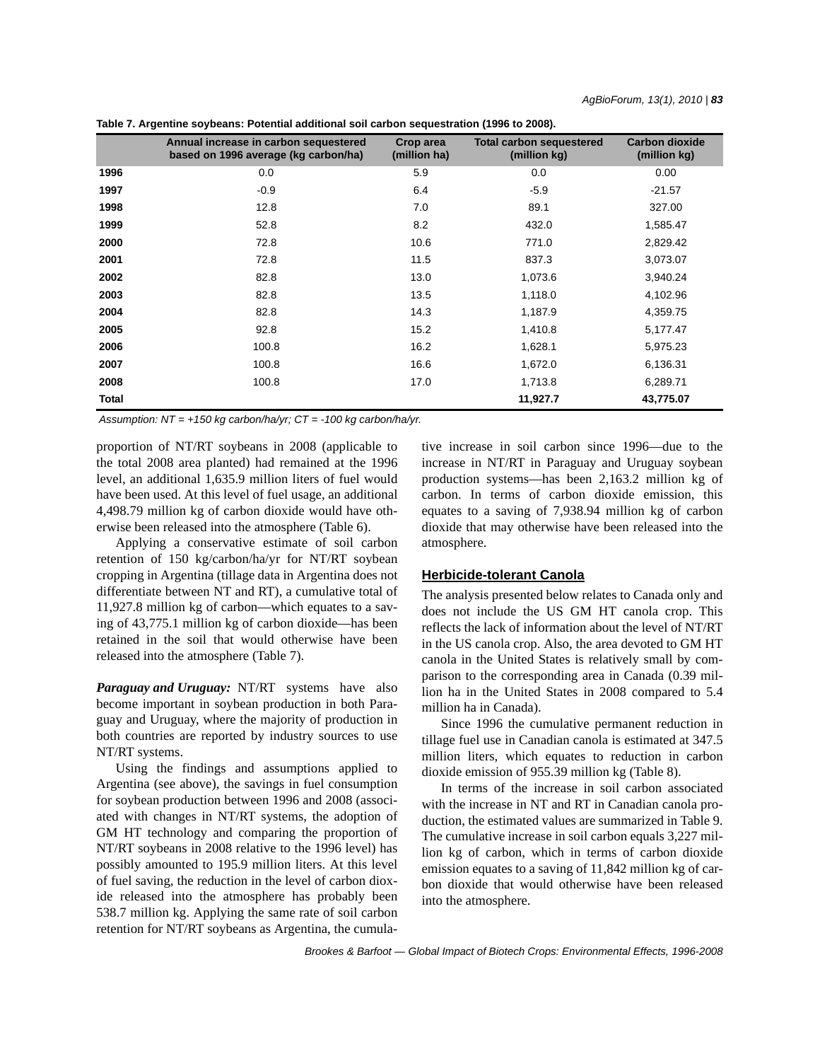| Table 7. Argentine soybeans: Potential additional soil carbon sequestration (1996 to 2008). |  |
|---------------------------------------------------------------------------------------------|--|
|---------------------------------------------------------------------------------------------|--|

|       | Annual increase in carbon sequestered<br>based on 1996 average (kg carbon/ha) | Crop area<br>(million ha) | <b>Total carbon sequestered</b><br>(million kg) | <b>Carbon dioxide</b><br>(million kg) |
|-------|-------------------------------------------------------------------------------|---------------------------|-------------------------------------------------|---------------------------------------|
| 1996  | 0.0                                                                           | 5.9                       | 0.0                                             | 0.00                                  |
| 1997  | $-0.9$                                                                        | 6.4                       | $-5.9$                                          | $-21.57$                              |
| 1998  | 12.8                                                                          | 7.0                       | 89.1                                            | 327.00                                |
| 1999  | 52.8                                                                          | 8.2                       | 432.0                                           | 1,585.47                              |
| 2000  | 72.8                                                                          | 10.6                      | 771.0                                           | 2,829.42                              |
| 2001  | 72.8                                                                          | 11.5                      | 837.3                                           | 3,073.07                              |
| 2002  | 82.8                                                                          | 13.0                      | 1,073.6                                         | 3,940.24                              |
| 2003  | 82.8                                                                          | 13.5                      | 1,118.0                                         | 4,102.96                              |
| 2004  | 82.8                                                                          | 14.3                      | 1,187.9                                         | 4,359.75                              |
| 2005  | 92.8                                                                          | 15.2                      | 1,410.8                                         | 5,177.47                              |
| 2006  | 100.8                                                                         | 16.2                      | 1,628.1                                         | 5,975.23                              |
| 2007  | 100.8                                                                         | 16.6                      | 1,672.0                                         | 6,136.31                              |
| 2008  | 100.8                                                                         | 17.0                      | 1,713.8                                         | 6,289.71                              |
| Total |                                                                               |                           | 11,927.7                                        | 43,775.07                             |

*Assumption: NT = +150 kg carbon/ha/yr; CT = -100 kg carbon/ha/yr.*

proportion of NT/RT soybeans in 2008 (applicable to the total 2008 area planted) had remained at the 1996 level, an additional 1,635.9 million liters of fuel would have been used. At this level of fuel usage, an additional 4,498.79 million kg of carbon dioxide would have otherwise been released into the atmosphere (Table 6).

Applying a conservative estimate of soil carbon retention of 150 kg/carbon/ha/yr for NT/RT soybean cropping in Argentina (tillage data in Argentina does not differentiate between NT and RT), a cumulative total of 11,927.8 million kg of carbon—which equates to a saving of 43,775.1 million kg of carbon dioxide—has been retained in the soil that would otherwise have been released into the atmosphere (Table 7).

*Paraguay and Uruguay:* NT/RT systems have also become important in soybean production in both Paraguay and Uruguay, where the majority of production in both countries are reported by industry sources to use NT/RT systems.

Using the findings and assumptions applied to Argentina (see above), the savings in fuel consumption for soybean production between 1996 and 2008 (associated with changes in NT/RT systems, the adoption of GM HT technology and comparing the proportion of NT/RT soybeans in 2008 relative to the 1996 level) has possibly amounted to 195.9 million liters. At this level of fuel saving, the reduction in the level of carbon dioxide released into the atmosphere has probably been 538.7 million kg. Applying the same rate of soil carbon retention for NT/RT soybeans as Argentina, the cumulative increase in soil carbon since 1996—due to the increase in NT/RT in Paraguay and Uruguay soybean production systems—has been 2,163.2 million kg of carbon. In terms of carbon dioxide emission, this equates to a saving of 7,938.94 million kg of carbon dioxide that may otherwise have been released into the atmosphere.

### **Herbicide-tolerant Canola**

The analysis presented below relates to Canada only and does not include the US GM HT canola crop. This reflects the lack of information about the level of NT/RT in the US canola crop. Also, the area devoted to GM HT canola in the United States is relatively small by comparison to the corresponding area in Canada (0.39 million ha in the United States in 2008 compared to 5.4 million ha in Canada).

Since 1996 the cumulative permanent reduction in tillage fuel use in Canadian canola is estimated at 347.5 million liters, which equates to reduction in carbon dioxide emission of 955.39 million kg (Table 8).

In terms of the increase in soil carbon associated with the increase in NT and RT in Canadian canola production, the estimated values are summarized in Table 9. The cumulative increase in soil carbon equals 3,227 million kg of carbon, which in terms of carbon dioxide emission equates to a saving of 11,842 million kg of carbon dioxide that would otherwise have been released into the atmosphere.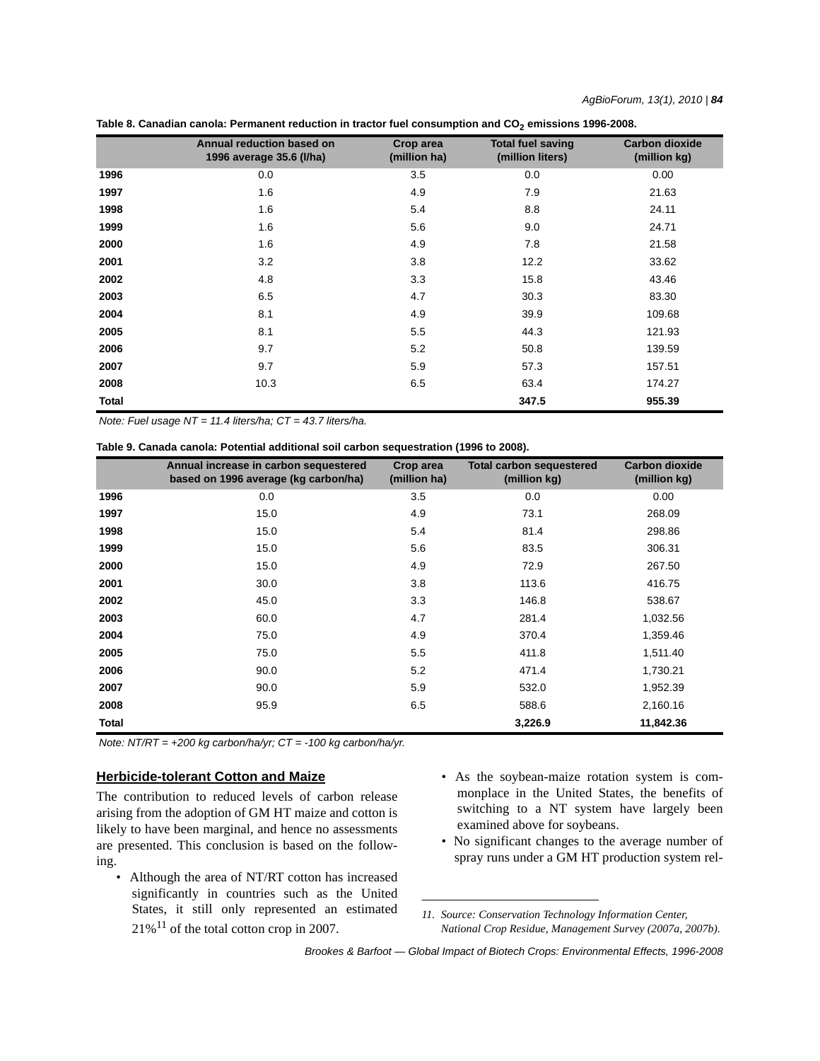|       | <b>Annual reduction based on</b><br>1996 average 35.6 (I/ha) | Crop area<br>(million ha) | <b>Total fuel saving</b><br>(million liters) | <b>Carbon dioxide</b><br>(million kg) |
|-------|--------------------------------------------------------------|---------------------------|----------------------------------------------|---------------------------------------|
| 1996  | 0.0                                                          | 3.5                       | 0.0                                          | 0.00                                  |
| 1997  | 1.6                                                          | 4.9                       | 7.9                                          | 21.63                                 |
| 1998  | 1.6                                                          | 5.4                       | 8.8                                          | 24.11                                 |
| 1999  | 1.6                                                          | 5.6                       | 9.0                                          | 24.71                                 |
| 2000  | 1.6                                                          | 4.9                       | 7.8                                          | 21.58                                 |
| 2001  | 3.2                                                          | 3.8                       | 12.2                                         | 33.62                                 |
| 2002  | 4.8                                                          | 3.3                       | 15.8                                         | 43.46                                 |
| 2003  | 6.5                                                          | 4.7                       | 30.3                                         | 83.30                                 |
| 2004  | 8.1                                                          | 4.9                       | 39.9                                         | 109.68                                |
| 2005  | 8.1                                                          | 5.5                       | 44.3                                         | 121.93                                |
| 2006  | 9.7                                                          | 5.2                       | 50.8                                         | 139.59                                |
| 2007  | 9.7                                                          | 5.9                       | 57.3                                         | 157.51                                |
| 2008  | 10.3                                                         | 6.5                       | 63.4                                         | 174.27                                |
| Total |                                                              |                           | 347.5                                        | 955.39                                |

| Table 8. Canadian canola: Permanent reduction in tractor fuel consumption and CO <sub>2</sub> emissions 1996-2008. |
|--------------------------------------------------------------------------------------------------------------------|
|--------------------------------------------------------------------------------------------------------------------|

*Note: Fuel usage NT = 11.4 liters/ha; CT = 43.7 liters/ha.*

| Table 9. Canada canola: Potential additional soil carbon sequestration (1996 to 2008). |  |  |
|----------------------------------------------------------------------------------------|--|--|
|----------------------------------------------------------------------------------------|--|--|

|       | Annual increase in carbon sequestered<br>based on 1996 average (kg carbon/ha) | Crop area<br>(million ha) | <b>Total carbon sequestered</b><br>(million kg) | <b>Carbon dioxide</b><br>(million kg) |
|-------|-------------------------------------------------------------------------------|---------------------------|-------------------------------------------------|---------------------------------------|
| 1996  | 0.0                                                                           | 3.5                       | 0.0                                             | 0.00                                  |
| 1997  | 15.0                                                                          | 4.9                       | 73.1                                            | 268.09                                |
| 1998  | 15.0                                                                          | 5.4                       | 81.4                                            | 298.86                                |
| 1999  | 15.0                                                                          | 5.6                       | 83.5                                            | 306.31                                |
| 2000  | 15.0                                                                          | 4.9                       | 72.9                                            | 267.50                                |
| 2001  | 30.0                                                                          | 3.8                       | 113.6                                           | 416.75                                |
| 2002  | 45.0                                                                          | 3.3                       | 146.8                                           | 538.67                                |
| 2003  | 60.0                                                                          | 4.7                       | 281.4                                           | 1,032.56                              |
| 2004  | 75.0                                                                          | 4.9                       | 370.4                                           | 1,359.46                              |
| 2005  | 75.0                                                                          | 5.5                       | 411.8                                           | 1,511.40                              |
| 2006  | 90.0                                                                          | 5.2                       | 471.4                                           | 1,730.21                              |
| 2007  | 90.0                                                                          | 5.9                       | 532.0                                           | 1,952.39                              |
| 2008  | 95.9                                                                          | 6.5                       | 588.6                                           | 2,160.16                              |
| Total |                                                                               |                           | 3,226.9                                         | 11,842.36                             |

*Note: NT/RT = +200 kg carbon/ha/yr; CT = -100 kg carbon/ha/yr.*

# **Herbicide-tolerant Cotton and Maize**

The contribution to reduced levels of carbon release arising from the adoption of GM HT maize and cotton is likely to have been marginal, and hence no assessments are presented. This conclusion is based on the following.

- Although the area of NT/RT cotton has increased significantly in countries such as the United States, it still only represented an estimated  $21\%$ <sup>11</sup> of the total cotton crop in 2007.
- As the soybean-maize rotation system is commonplace in the United States, the benefits of switching to a NT system have largely been examined above for soybeans.
- No significant changes to the average number of spray runs under a GM HT production system rel-

*11. Source: Conservation Technology Information Center, National Crop Residue, Management Survey (2007a, 2007b).*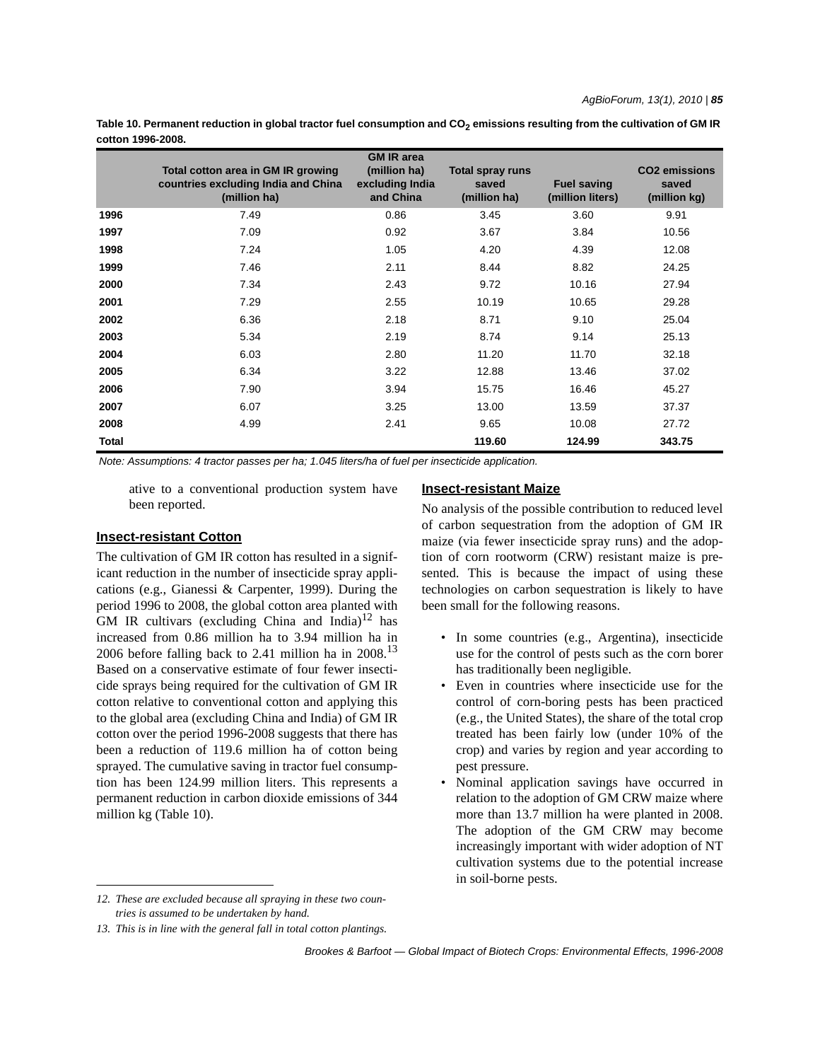Table 10. Permanent reduction in global tractor fuel consumption and CO<sub>2</sub> emissions resulting from the cultivation of GM IR **cotton 1996-2008.**

|       | Total cotton area in GM IR growing<br>countries excluding India and China<br>(million ha) | <b>GM IR area</b><br>(million ha)<br>excluding India<br>and China | Total spray runs<br>saved<br>(million ha) | <b>Fuel saving</b><br>(million liters) | <b>CO2</b> emissions<br>saved<br>(million kg) |
|-------|-------------------------------------------------------------------------------------------|-------------------------------------------------------------------|-------------------------------------------|----------------------------------------|-----------------------------------------------|
| 1996  | 7.49                                                                                      | 0.86                                                              | 3.45                                      | 3.60                                   | 9.91                                          |
| 1997  | 7.09                                                                                      | 0.92                                                              | 3.67                                      | 3.84                                   | 10.56                                         |
| 1998  | 7.24                                                                                      | 1.05                                                              | 4.20                                      | 4.39                                   | 12.08                                         |
| 1999  | 7.46                                                                                      | 2.11                                                              | 8.44                                      | 8.82                                   | 24.25                                         |
| 2000  | 7.34                                                                                      | 2.43                                                              | 9.72                                      | 10.16                                  | 27.94                                         |
| 2001  | 7.29                                                                                      | 2.55                                                              | 10.19                                     | 10.65                                  | 29.28                                         |
| 2002  | 6.36                                                                                      | 2.18                                                              | 8.71                                      | 9.10                                   | 25.04                                         |
| 2003  | 5.34                                                                                      | 2.19                                                              | 8.74                                      | 9.14                                   | 25.13                                         |
| 2004  | 6.03                                                                                      | 2.80                                                              | 11.20                                     | 11.70                                  | 32.18                                         |
| 2005  | 6.34                                                                                      | 3.22                                                              | 12.88                                     | 13.46                                  | 37.02                                         |
| 2006  | 7.90                                                                                      | 3.94                                                              | 15.75                                     | 16.46                                  | 45.27                                         |
| 2007  | 6.07                                                                                      | 3.25                                                              | 13.00                                     | 13.59                                  | 37.37                                         |
| 2008  | 4.99                                                                                      | 2.41                                                              | 9.65                                      | 10.08                                  | 27.72                                         |
| Total |                                                                                           |                                                                   | 119.60                                    | 124.99                                 | 343.75                                        |

*Note: Assumptions: 4 tractor passes per ha; 1.045 liters/ha of fuel per insecticide application.*

ative to a conventional production system have been reported.

### **Insect-resistant Maize**

### **Insect-resistant Cotton**

The cultivation of GM IR cotton has resulted in a significant reduction in the number of insecticide spray applications (e.g., Gianessi & Carpenter, 1999). During the period 1996 to 2008, the global cotton area planted with GM IR cultivars (excluding China and India) $12$  has increased from 0.86 million ha to 3.94 million ha in 2006 before falling back to 2.41 million ha in  $2008$ .<sup>13</sup> Based on a conservative estimate of four fewer insecticide sprays being required for the cultivation of GM IR cotton relative to conventional cotton and applying this to the global area (excluding China and India) of GM IR cotton over the period 1996-2008 suggests that there has been a reduction of 119.6 million ha of cotton being sprayed. The cumulative saving in tractor fuel consumption has been 124.99 million liters. This represents a permanent reduction in carbon dioxide emissions of 344 million kg (Table 10).

No analysis of the possible contribution to reduced level of carbon sequestration from the adoption of GM IR maize (via fewer insecticide spray runs) and the adoption of corn rootworm (CRW) resistant maize is presented. This is because the impact of using these technologies on carbon sequestration is likely to have been small for the following reasons.

- In some countries (e.g., Argentina), insecticide use for the control of pests such as the corn borer has traditionally been negligible.
- Even in countries where insecticide use for the control of corn-boring pests has been practiced (e.g., the United States), the share of the total crop treated has been fairly low (under 10% of the crop) and varies by region and year according to pest pressure.
- Nominal application savings have occurred in relation to the adoption of GM CRW maize where more than 13.7 million ha were planted in 2008. The adoption of the GM CRW may become increasingly important with wider adoption of NT cultivation systems due to the potential increase in soil-borne pests.

*<sup>12.</sup> These are excluded because all spraying in these two countries is assumed to be undertaken by hand.*

*<sup>13.</sup> This is in line with the general fall in total cotton plantings.*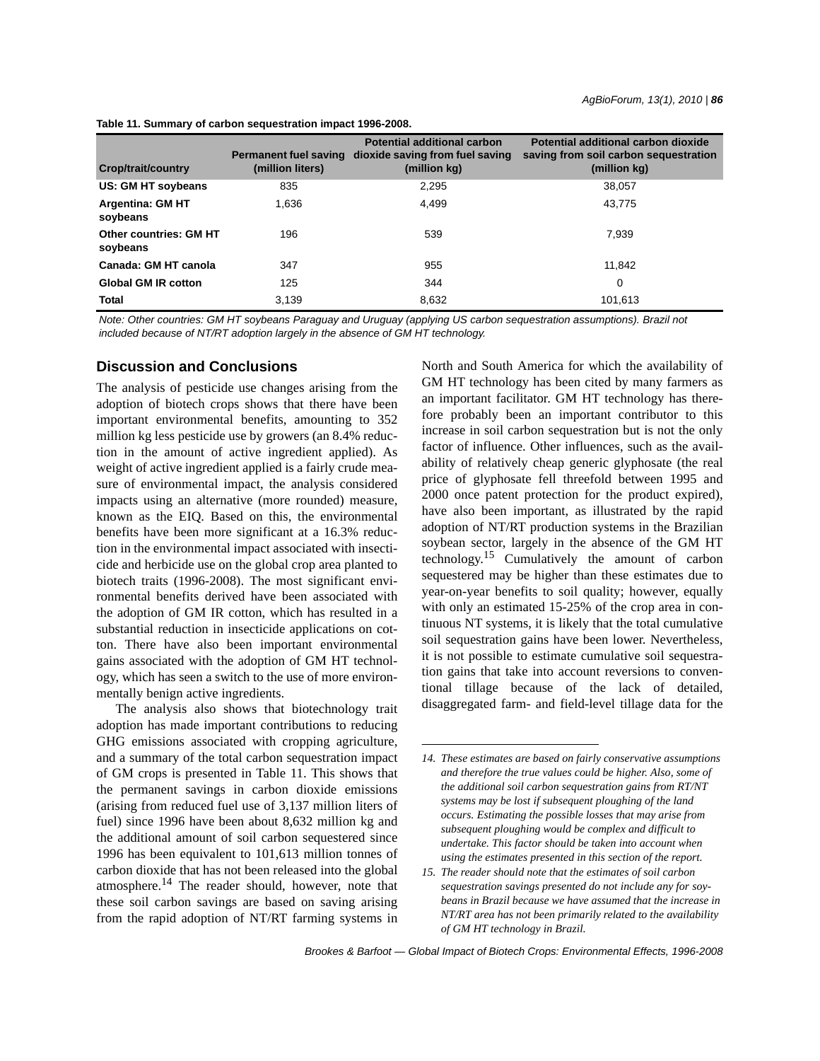| <b>Crop/trait/country</b>                 | <b>Permanent fuel saving</b><br>(million liters) | <b>Potential additional carbon</b><br>dioxide saving from fuel saving<br>(million kg) | Potential additional carbon dioxide<br>saving from soil carbon sequestration<br>(million kg) |
|-------------------------------------------|--------------------------------------------------|---------------------------------------------------------------------------------------|----------------------------------------------------------------------------------------------|
| US: GM HT soybeans                        | 835                                              | 2.295                                                                                 | 38.057                                                                                       |
| <b>Argentina: GM HT</b><br>soybeans       | 1.636                                            | 4.499                                                                                 | 43.775                                                                                       |
| <b>Other countries: GM HT</b><br>soybeans | 196                                              | 539                                                                                   | 7.939                                                                                        |
| Canada: GM HT canola                      | 347                                              | 955                                                                                   | 11.842                                                                                       |
| <b>Global GM IR cotton</b>                | 125                                              | 344                                                                                   | 0                                                                                            |
| <b>Total</b>                              | 3.139                                            | 8,632                                                                                 | 101.613                                                                                      |

**Table 11. Summary of carbon sequestration impact 1996-2008.**

*Note: Other countries: GM HT soybeans Paraguay and Uruguay (applying US carbon sequestration assumptions). Brazil not included because of NT/RT adoption largely in the absence of GM HT technology.*

# **Discussion and Conclusions**

The analysis of pesticide use changes arising from the adoption of biotech crops shows that there have been important environmental benefits, amounting to 352 million kg less pesticide use by growers (an 8.4% reduction in the amount of active ingredient applied). As weight of active ingredient applied is a fairly crude measure of environmental impact, the analysis considered impacts using an alternative (more rounded) measure, known as the EIQ. Based on this, the environmental benefits have been more significant at a 16.3% reduction in the environmental impact associated with insecticide and herbicide use on the global crop area planted to biotech traits (1996-2008). The most significant environmental benefits derived have been associated with the adoption of GM IR cotton, which has resulted in a substantial reduction in insecticide applications on cotton. There have also been important environmental gains associated with the adoption of GM HT technology, which has seen a switch to the use of more environmentally benign active ingredients.

The analysis also shows that biotechnology trait adoption has made important contributions to reducing GHG emissions associated with cropping agriculture, and a summary of the total carbon sequestration impact of GM crops is presented in Table 11. This shows that the permanent savings in carbon dioxide emissions (arising from reduced fuel use of 3,137 million liters of fuel) since 1996 have been about 8,632 million kg and the additional amount of soil carbon sequestered since 1996 has been equivalent to 101,613 million tonnes of carbon dioxide that has not been released into the global atmosphere. $^{14}$  The reader should, however, note that these soil carbon savings are based on saving arising from the rapid adoption of NT/RT farming systems in North and South America for which the availability of GM HT technology has been cited by many farmers as an important facilitator. GM HT technology has therefore probably been an important contributor to this increase in soil carbon sequestration but is not the only factor of influence. Other influences, such as the availability of relatively cheap generic glyphosate (the real price of glyphosate fell threefold between 1995 and 2000 once patent protection for the product expired), have also been important, as illustrated by the rapid adoption of NT/RT production systems in the Brazilian soybean sector, largely in the absence of the GM HT technology.15 Cumulatively the amount of carbon sequestered may be higher than these estimates due to year-on-year benefits to soil quality; however, equally with only an estimated 15-25% of the crop area in continuous NT systems, it is likely that the total cumulative soil sequestration gains have been lower. Nevertheless, it is not possible to estimate cumulative soil sequestration gains that take into account reversions to conventional tillage because of the lack of detailed, disaggregated farm- and field-level tillage data for the

*<sup>14.</sup> These estimates are based on fairly conservative assumptions and therefore the true values could be higher. Also, some of the additional soil carbon sequestration gains from RT/NT systems may be lost if subsequent ploughing of the land occurs. Estimating the possible losses that may arise from subsequent ploughing would be complex and difficult to undertake. This factor should be taken into account when using the estimates presented in this section of the report.*

*<sup>15.</sup> The reader should note that the estimates of soil carbon sequestration savings presented do not include any for soybeans in Brazil because we have assumed that the increase in NT/RT area has not been primarily related to the availability of GM HT technology in Brazil.*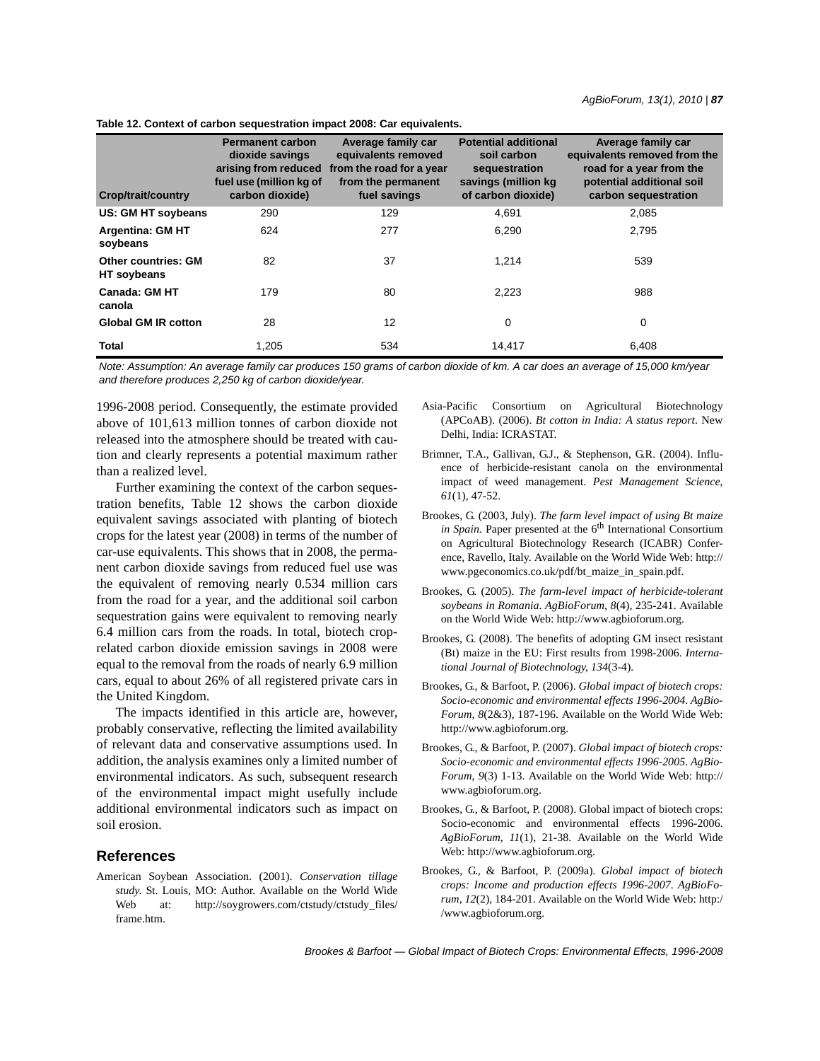|  |  |  | Table 12. Context of carbon sequestration impact 2008: Car equivalents. |  |  |  |
|--|--|--|-------------------------------------------------------------------------|--|--|--|
|--|--|--|-------------------------------------------------------------------------|--|--|--|

| <b>Crop/trait/country</b>                 | <b>Permanent carbon</b><br>dioxide savings<br>arising from reduced<br>fuel use (million kg of<br>carbon dioxide) | Average family car<br>equivalents removed<br>from the road for a year<br>from the permanent<br>fuel savings | <b>Potential additional</b><br>soil carbon<br>sequestration<br>savings (million kg)<br>of carbon dioxide) | Average family car<br>equivalents removed from the<br>road for a year from the<br>potential additional soil<br>carbon sequestration |
|-------------------------------------------|------------------------------------------------------------------------------------------------------------------|-------------------------------------------------------------------------------------------------------------|-----------------------------------------------------------------------------------------------------------|-------------------------------------------------------------------------------------------------------------------------------------|
| US: GM HT soybeans                        | 290                                                                                                              | 129                                                                                                         | 4,691                                                                                                     | 2,085                                                                                                                               |
| <b>Argentina: GM HT</b><br>soybeans       | 624                                                                                                              | 277                                                                                                         | 6,290                                                                                                     | 2,795                                                                                                                               |
| <b>Other countries: GM</b><br>HT soybeans | 82                                                                                                               | 37                                                                                                          | 1,214                                                                                                     | 539                                                                                                                                 |
| <b>Canada: GM HT</b><br>canola            | 179                                                                                                              | 80                                                                                                          | 2,223                                                                                                     | 988                                                                                                                                 |
| <b>Global GM IR cotton</b>                | 28                                                                                                               | 12                                                                                                          | 0                                                                                                         | 0                                                                                                                                   |
| <b>Total</b>                              | 1.205                                                                                                            | 534                                                                                                         | 14.417                                                                                                    | 6.408                                                                                                                               |

*Note: Assumption: An average family car produces 150 grams of carbon dioxide of km. A car does an average of 15,000 km/year and therefore produces 2,250 kg of carbon dioxide/year.*

1996-2008 period. Consequently, the estimate provided above of 101,613 million tonnes of carbon dioxide not released into the atmosphere should be treated with caution and clearly represents a potential maximum rather than a realized level.

Further examining the context of the carbon sequestration benefits, Table 12 shows the carbon dioxide equivalent savings associated with planting of biotech crops for the latest year (2008) in terms of the number of car-use equivalents. This shows that in 2008, the permanent carbon dioxide savings from reduced fuel use was the equivalent of removing nearly 0.534 million cars from the road for a year, and the additional soil carbon sequestration gains were equivalent to removing nearly 6.4 million cars from the roads. In total, biotech croprelated carbon dioxide emission savings in 2008 were equal to the removal from the roads of nearly 6.9 million cars, equal to about 26% of all registered private cars in the United Kingdom.

The impacts identified in this article are, however, probably conservative, reflecting the limited availability of relevant data and conservative assumptions used. In addition, the analysis examines only a limited number of environmental indicators. As such, subsequent research of the environmental impact might usefully include additional environmental indicators such as impact on soil erosion.

### **References**

American Soybean Association. (2001). *Conservation tillage study*. St. Louis, MO: Author. Available on the World Wide Web at: http://soygrowers.com/ctstudy/ctstudy\_files/ frame.htm.

- Asia-Pacific Consortium on Agricultural Biotechnology (APCoAB). (2006). *Bt cotton in India: A status report*. New Delhi, India: ICRASTAT.
- Brimner, T.A., Gallivan, G.J., & Stephenson, G.R. (2004). Influence of herbicide-resistant canola on the environmental impact of weed management. *Pest Management Science*, *61*(1), 47-52.
- Brookes, G. (2003, July). *The farm level impact of using Bt maize in Spain*. Paper presented at the 6<sup>th</sup> International Consortium on Agricultural Biotechnology Research (ICABR) Conference, Ravello, Italy. Available on the World Wide Web: http:// www.pgeconomics.co.uk/pdf/bt\_maize\_in\_spain.pdf.
- Brookes, G. (2005). *The farm-level impact of herbicide-tolerant soybeans in Romania*. *AgBioForum*, *8*(4), 235-241. Available on the World Wide Web: http://www.agbioforum.org.
- Brookes, G. (2008). The benefits of adopting GM insect resistant (Bt) maize in the EU: First results from 1998-2006. *International Journal of Biotechnology*, *134*(3-4).
- Brookes, G., & Barfoot, P. (2006). *Global impact of biotech crops: Socio-economic and environmental effects 1996-2004*. *AgBio-Forum*, *8*(2&3), 187-196. Available on the World Wide Web: http://www.agbioforum.org.
- Brookes, G., & Barfoot, P. (2007). *Global impact of biotech crops: Socio-economic and environmental effects 1996-2005*. *AgBio-Forum*, *9*(3) 1-13. Available on the World Wide Web: http:// www.agbioforum.org.
- Brookes, G., & Barfoot, P. (2008). Global impact of biotech crops: Socio-economic and environmental effects 1996-2006. *AgBioForum*, *11*(1), 21-38. Available on the World Wide Web: http://www.agbioforum.org.
- Brookes, G., & Barfoot, P. (2009a). *Global impact of biotech crops: Income and production effects 1996-2007*. *AgBioForum*, *12*(2), 184-201. Available on the World Wide Web: http:/ /www.agbioforum.org.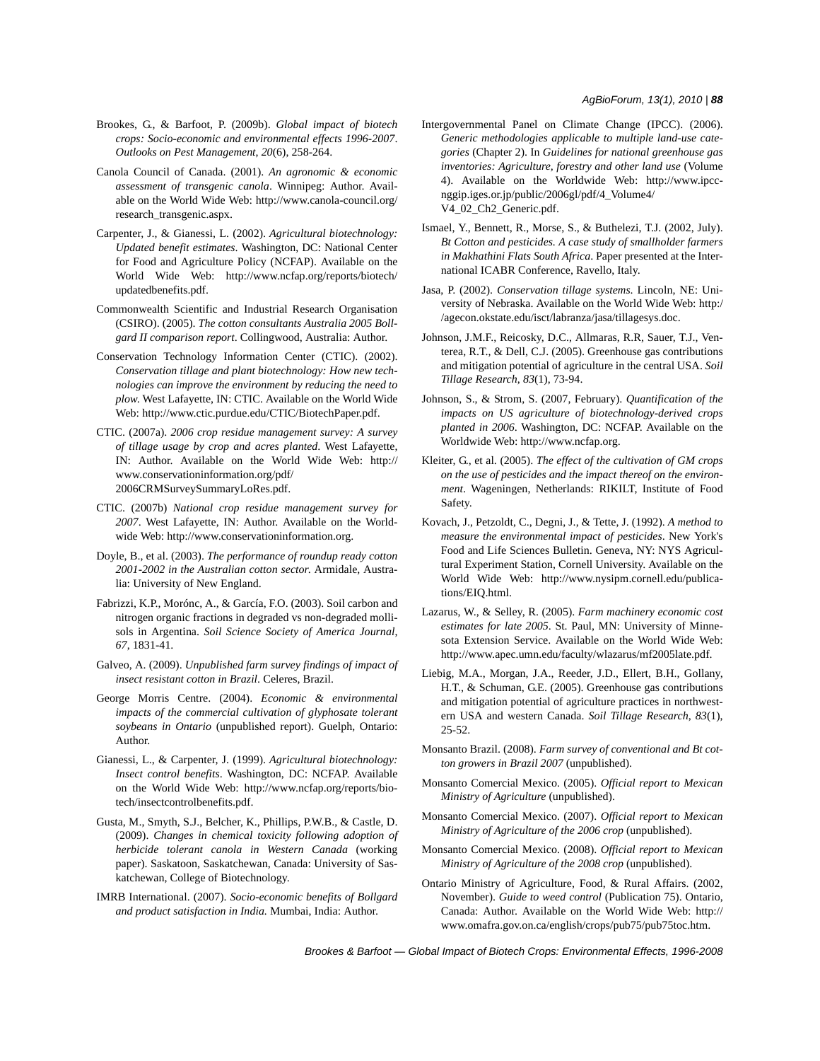#### *AgBioForum, 13(1), 2010 | 88*

- Brookes, G., & Barfoot, P. (2009b). *Global impact of biotech crops: Socio-economic and environmental effects 1996-2007*. *Outlooks on Pest Management*, *20*(6), 258-264.
- Canola Council of Canada. (2001). *An agronomic & economic assessment of transgenic canola*. Winnipeg: Author. Available on the World Wide Web: http://www.canola-council.org/ research\_transgenic.aspx.
- Carpenter, J., & Gianessi, L. (2002). *Agricultural biotechnology: Updated benefit estimates*. Washington, DC: National Center for Food and Agriculture Policy (NCFAP). Available on the World Wide Web: http://www.ncfap.org/reports/biotech/ updatedbenefits.pdf.
- Commonwealth Scientific and Industrial Research Organisation (CSIRO). (2005). *The cotton consultants Australia 2005 Bollgard II comparison report*. Collingwood, Australia: Author.
- Conservation Technology Information Center (CTIC). (2002). *Conservation tillage and plant biotechnology: How new technologies can improve the environment by reducing the need to plow*. West Lafayette, IN: CTIC. Available on the World Wide Web: http://www.ctic.purdue.edu/CTIC/BiotechPaper.pdf.
- CTIC. (2007a). *2006 crop residue management survey: A survey of tillage usage by crop and acres planted*. West Lafayette, IN: Author. Available on the World Wide Web: http:// www.conservationinformation.org/pdf/ 2006CRMSurveySummaryLoRes.pdf.
- CTIC. (2007b) *National crop residue management survey for 2007*. West Lafayette, IN: Author. Available on the Worldwide Web: http://www.conservationinformation.org.
- Doyle, B., et al. (2003). *The performance of roundup ready cotton 2001-2002 in the Australian cotton sector*. Armidale, Australia: University of New England.
- Fabrizzi, K.P., Morónc, A., & García, F.O. (2003). Soil carbon and nitrogen organic fractions in degraded vs non-degraded mollisols in Argentina. *Soil Science Society of America Journal*, *67*, 1831-41.
- Galveo, A. (2009). *Unpublished farm survey findings of impact of insect resistant cotton in Brazil*. Celeres, Brazil.
- George Morris Centre. (2004). *Economic & environmental impacts of the commercial cultivation of glyphosate tolerant soybeans in Ontario* (unpublished report). Guelph, Ontario: Author.
- Gianessi, L., & Carpenter, J. (1999). *Agricultural biotechnology: Insect control benefits*. Washington, DC: NCFAP. Available on the World Wide Web: http://www.ncfap.org/reports/biotech/insectcontrolbenefits.pdf.
- Gusta, M., Smyth, S.J., Belcher, K., Phillips, P.W.B., & Castle, D. (2009). *Changes in chemical toxicity following adoption of herbicide tolerant canola in Western Canada* (working paper). Saskatoon, Saskatchewan, Canada: University of Saskatchewan, College of Biotechnology.
- IMRB International. (2007). *Socio-economic benefits of Bollgard and product satisfaction in India.* Mumbai, India: Author.
- Intergovernmental Panel on Climate Change (IPCC). (2006). *Generic methodologies applicable to multiple land-use categories* (Chapter 2). In *Guidelines for national greenhouse gas inventories: Agriculture, forestry and other land use* (Volume 4). Available on the Worldwide Web: http://www.ipccnggip.iges.or.jp/public/2006gl/pdf/4\_Volume4/ V4\_02\_Ch2\_Generic.pdf.
- Ismael, Y., Bennett, R., Morse, S., & Buthelezi, T.J. (2002, July). *Bt Cotton and pesticides. A case study of smallholder farmers in Makhathini Flats South Africa*. Paper presented at the International ICABR Conference, Ravello, Italy.
- Jasa, P. (2002). *Conservation tillage systems*. Lincoln, NE: University of Nebraska. Available on the World Wide Web: http:/ /agecon.okstate.edu/isct/labranza/jasa/tillagesys.doc.
- Johnson, J.M.F., Reicosky, D.C., Allmaras, R.R, Sauer, T.J., Venterea, R.T., & Dell, C.J. (2005). Greenhouse gas contributions and mitigation potential of agriculture in the central USA. *Soil Tillage Research*, *83*(1), 73-94.
- Johnson, S., & Strom, S. (2007, February). *Quantification of the impacts on US agriculture of biotechnology-derived crops planted in 2006*. Washington, DC: NCFAP. Available on the Worldwide Web: http://www.ncfap.org.
- Kleiter, G., et al. (2005). *The effect of the cultivation of GM crops on the use of pesticides and the impact thereof on the environment*. Wageningen, Netherlands: RIKILT, Institute of Food Safety.
- Kovach, J., Petzoldt, C., Degni, J., & Tette, J. (1992). *A method to measure the environmental impact of pesticides*. New York's Food and Life Sciences Bulletin. Geneva, NY: NYS Agricultural Experiment Station, Cornell University. Available on the World Wide Web: http://www.nysipm.cornell.edu/publications/EIQ.html.
- Lazarus, W., & Selley, R. (2005). *Farm machinery economic cost estimates for late 2005*. St. Paul, MN: University of Minnesota Extension Service. Available on the World Wide Web: http://www.apec.umn.edu/faculty/wlazarus/mf2005late.pdf.
- Liebig, M.A., Morgan, J.A., Reeder, J.D., Ellert, B.H., Gollany, H.T., & Schuman, G.E. (2005). Greenhouse gas contributions and mitigation potential of agriculture practices in northwestern USA and western Canada. *Soil Tillage Research*, *83*(1), 25-52.
- Monsanto Brazil. (2008). *Farm survey of conventional and Bt cotton growers in Brazil 2007* (unpublished).
- Monsanto Comercial Mexico. (2005). *Official report to Mexican Ministry of Agriculture* (unpublished).
- Monsanto Comercial Mexico. (2007). *Official report to Mexican Ministry of Agriculture of the 2006 crop* (unpublished).
- Monsanto Comercial Mexico. (2008). *Official report to Mexican Ministry of Agriculture of the 2008 crop* (unpublished).
- Ontario Ministry of Agriculture, Food, & Rural Affairs. (2002, November). *Guide to weed control* (Publication 75). Ontario, Canada: Author. Available on the World Wide Web: http:// www.omafra.gov.on.ca/english/crops/pub75/pub75toc.htm.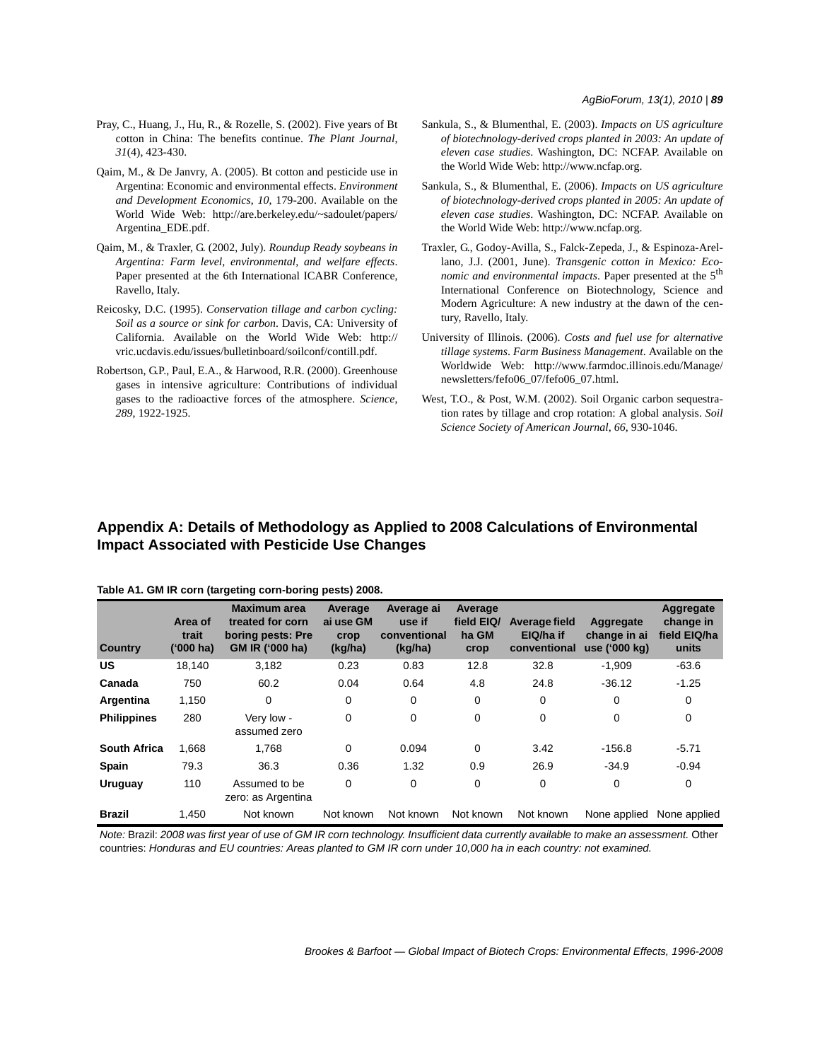- Pray, C., Huang, J., Hu, R., & Rozelle, S. (2002). Five years of Bt cotton in China: The benefits continue. *The Plant Journal*, *31*(4), 423-430.
- Qaim, M., & De Janvry, A. (2005). Bt cotton and pesticide use in Argentina: Economic and environmental effects. *Environment and Development Economics*, *10*, 179-200. Available on the World Wide Web: http://are.berkeley.edu/~sadoulet/papers/ Argentina\_EDE.pdf.
- Qaim, M., & Traxler, G. (2002, July). *Roundup Ready soybeans in Argentina: Farm level, environmental, and welfare effects*. Paper presented at the 6th International ICABR Conference, Ravello, Italy.
- Reicosky, D.C. (1995). *Conservation tillage and carbon cycling: Soil as a source or sink for carbon*. Davis, CA: University of California. Available on the World Wide Web: http:// vric.ucdavis.edu/issues/bulletinboard/soilconf/contill.pdf.
- Robertson, G.P., Paul, E.A., & Harwood, R.R. (2000). Greenhouse gases in intensive agriculture: Contributions of individual gases to the radioactive forces of the atmosphere. *Science*, *289*, 1922-1925.
- Sankula, S., & Blumenthal, E. (2003). *Impacts on US agriculture of biotechnology-derived crops planted in 2003: An update of eleven case studies*. Washington, DC: NCFAP. Available on the World Wide Web: http://www.ncfap.org.
- Sankula, S., & Blumenthal, E. (2006). *Impacts on US agriculture of biotechnology-derived crops planted in 2005: An update of eleven case studies*. Washington, DC: NCFAP. Available on the World Wide Web: http://www.ncfap.org.
- Traxler, G., Godoy-Avilla, S., Falck-Zepeda, J., & Espinoza-Arellano, J.J. (2001, June). *Transgenic cotton in Mexico: Economic and environmental impacts*. Paper presented at the 5<sup>th</sup> International Conference on Biotechnology, Science and Modern Agriculture: A new industry at the dawn of the century, Ravello, Italy.
- University of Illinois. (2006). *Costs and fuel use for alternative tillage systems*. *Farm Business Management*. Available on the Worldwide Web: http://www.farmdoc.illinois.edu/Manage/ newsletters/fefo06\_07/fefo06\_07.html.
- West, T.O., & Post, W.M. (2002). Soil Organic carbon sequestration rates by tillage and crop rotation: A global analysis. *Soil Science Society of American Journal*, *66*, 930-1046.

# **Appendix A: Details of Methodology as Applied to 2008 Calculations of Environmental Impact Associated with Pesticide Use Changes**

| <b>Country</b>      | Area of<br>trait<br>$(000)$ ha) | <b>Maximum area</b><br>treated for corn<br>boring pests: Pre<br>GM IR ('000 ha) | Average<br>ai use GM<br>crop<br>(kg/ha) | Average ai<br>use if<br>conventional<br>(kg/ha) | Average<br>field EIQ/<br>ha GM<br>crop | Average field<br>EIQ/ha if<br>conventional | Aggregate<br>change in ai<br>use ('000 kg) | Aggregate<br>change in<br>field EIQ/ha<br>units |
|---------------------|---------------------------------|---------------------------------------------------------------------------------|-----------------------------------------|-------------------------------------------------|----------------------------------------|--------------------------------------------|--------------------------------------------|-------------------------------------------------|
| <b>US</b>           | 18,140                          | 3,182                                                                           | 0.23                                    | 0.83                                            | 12.8                                   | 32.8                                       | $-1.909$                                   | $-63.6$                                         |
| Canada              | 750                             | 60.2                                                                            | 0.04                                    | 0.64                                            | 4.8                                    | 24.8                                       | $-36.12$                                   | $-1.25$                                         |
| Argentina           | 1,150                           | 0                                                                               | 0                                       | $\mathbf 0$                                     | 0                                      | 0                                          | $\mathbf 0$                                | 0                                               |
| <b>Philippines</b>  | 280                             | Very low -<br>assumed zero                                                      | 0                                       | $\mathbf 0$                                     | 0                                      | 0                                          | $\mathbf 0$                                | $\mathbf 0$                                     |
| <b>South Africa</b> | 1,668                           | 1,768                                                                           | $\Omega$                                | 0.094                                           | $\Omega$                               | 3.42                                       | $-156.8$                                   | $-5.71$                                         |
| <b>Spain</b>        | 79.3                            | 36.3                                                                            | 0.36                                    | 1.32                                            | 0.9                                    | 26.9                                       | $-34.9$                                    | $-0.94$                                         |
| <b>Uruguay</b>      | 110                             | Assumed to be<br>zero: as Argentina                                             | $\Omega$                                | $\mathbf 0$                                     | 0                                      | 0                                          | $\mathbf 0$                                | 0                                               |
| <b>Brazil</b>       | 1.450                           | Not known                                                                       | Not known                               | Not known                                       | Not known                              | Not known                                  | None applied                               | None applied                                    |

**Table A1. GM IR corn (targeting corn-boring pests) 2008.**

*Note:* Brazil: *2008 was first year of use of GM IR corn technology. Insufficient data currently available to make an assessment.* Other countries: *Honduras and EU countries: Areas planted to GM IR corn under 10,000 ha in each country: not examined.*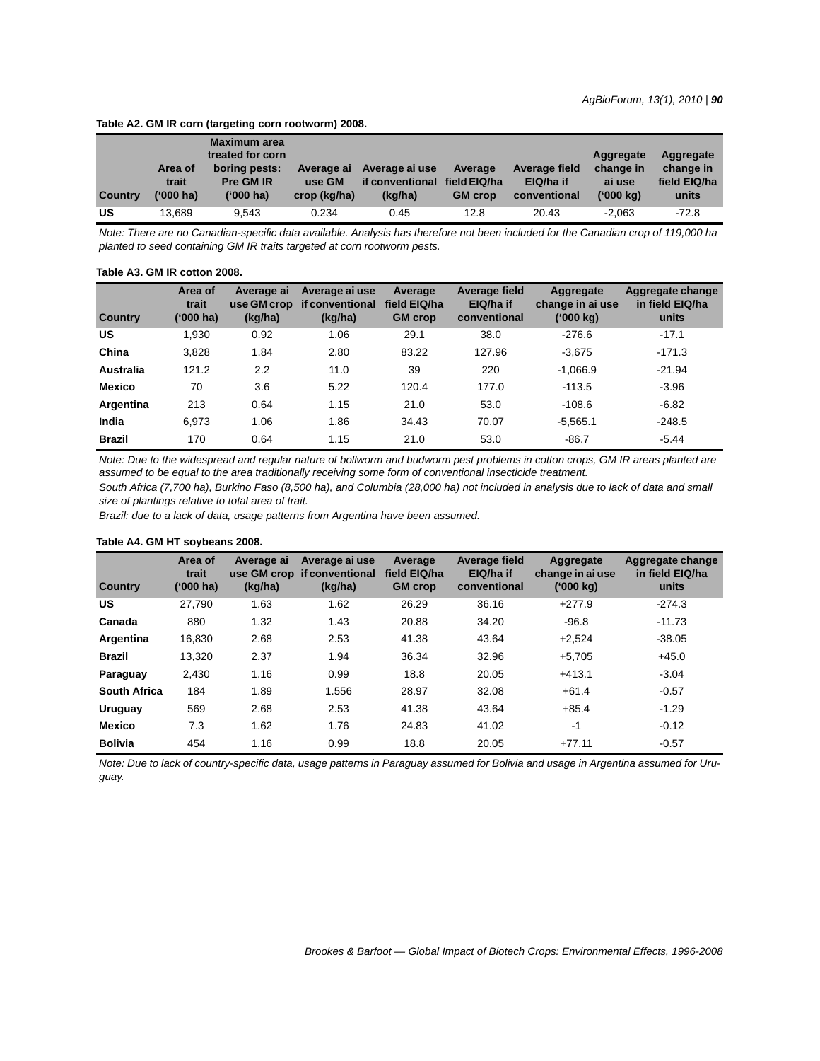### **Table A2. GM IR corn (targeting corn rootworm) 2008.**

| <b>Country</b> | Area of<br>trait<br>('000 ha) | Maximum area<br>treated for corn<br>boring pests:<br>Pre GM IR<br>('000 ha) | Average ai<br>use GM<br>crop (kg/ha) | Average ai use<br>if conventional<br>(kg/ha) | Average<br>field EIQ/ha<br><b>GM</b> crop | Average field<br>EIQ/ha if<br>conventional | Aggregate<br>change in<br>ai use<br>('000 ka) | Aggregate<br>change in<br>field EIQ/ha<br>units |
|----------------|-------------------------------|-----------------------------------------------------------------------------|--------------------------------------|----------------------------------------------|-------------------------------------------|--------------------------------------------|-----------------------------------------------|-------------------------------------------------|
| US             | 13.689                        | 9.543                                                                       | 0.234                                | 0.45                                         | 12.8                                      | 20.43                                      | $-2.063$                                      | $-72.8$                                         |

*Note: There are no Canadian-specific data available. Analysis has therefore not been included for the Canadian crop of 119,000 ha planted to seed containing GM IR traits targeted at corn rootworm pests.*

#### **Table A3. GM IR cotton 2008.**

| <b>Country</b>   | Area of<br>trait<br>('000 ha) | Average ai<br>use GM crop<br>(kg/ha) | Average ai use<br>if conventional<br>(kg/ha) | Average<br>field EIQ/ha<br><b>GM</b> crop | Average field<br>EIQ/ha if<br>conventional | Aggregate<br>change in ai use<br>('000 kg) | Aggregate change<br>in field EIQ/ha<br>units |
|------------------|-------------------------------|--------------------------------------|----------------------------------------------|-------------------------------------------|--------------------------------------------|--------------------------------------------|----------------------------------------------|
| US               | 1,930                         | 0.92                                 | 1.06                                         | 29.1                                      | 38.0                                       | $-276.6$                                   | $-17.1$                                      |
| China            | 3,828                         | 1.84                                 | 2.80                                         | 83.22                                     | 127.96                                     | $-3,675$                                   | $-171.3$                                     |
| <b>Australia</b> | 121.2                         | $2.2\phantom{0}$                     | 11.0                                         | 39                                        | 220                                        | $-1.066.9$                                 | $-21.94$                                     |
| <b>Mexico</b>    | 70                            | 3.6                                  | 5.22                                         | 120.4                                     | 177.0                                      | $-113.5$                                   | $-3.96$                                      |
| Argentina        | 213                           | 0.64                                 | 1.15                                         | 21.0                                      | 53.0                                       | $-108.6$                                   | $-6.82$                                      |
| India            | 6.973                         | 1.06                                 | 1.86                                         | 34.43                                     | 70.07                                      | $-5,565.1$                                 | $-248.5$                                     |
| <b>Brazil</b>    | 170                           | 0.64                                 | 1.15                                         | 21.0                                      | 53.0                                       | $-86.7$                                    | $-5.44$                                      |

*Note: Due to the widespread and regular nature of bollworm and budworm pest problems in cotton crops, GM IR areas planted are assumed to be equal to the area traditionally receiving some form of conventional insecticide treatment.*

*South Africa (7,700 ha), Burkino Faso (8,500 ha), and Columbia (28,000 ha) not included in analysis due to lack of data and small size of plantings relative to total area of trait.*

*Brazil: due to a lack of data, usage patterns from Argentina have been assumed.*

### **Table A4. GM HT soybeans 2008.**

| Country             | Area of<br>trait<br>$(000)$ ha) | Average ai<br>(kg/ha) | Average ai use<br>use GM crop if conventional<br>(kg/ha) | Average<br>field EIQ/ha<br><b>GM</b> crop | Average field<br>EIQ/ha if<br>conventional | Aggregate<br>change in ai use<br>('000 kg) | Aggregate change<br>in field EIQ/ha<br>units |
|---------------------|---------------------------------|-----------------------|----------------------------------------------------------|-------------------------------------------|--------------------------------------------|--------------------------------------------|----------------------------------------------|
| <b>US</b>           | 27,790                          | 1.63                  | 1.62                                                     | 26.29                                     | 36.16                                      | $+277.9$                                   | $-274.3$                                     |
| Canada              | 880                             | 1.32                  | 1.43                                                     | 20.88                                     | 34.20                                      | $-96.8$                                    | $-11.73$                                     |
| Argentina           | 16.830                          | 2.68                  | 2.53                                                     | 41.38                                     | 43.64                                      | $+2.524$                                   | $-38.05$                                     |
| <b>Brazil</b>       | 13.320                          | 2.37                  | 1.94                                                     | 36.34                                     | 32.96                                      | $+5.705$                                   | $+45.0$                                      |
| Paraguay            | 2,430                           | 1.16                  | 0.99                                                     | 18.8                                      | 20.05                                      | $+413.1$                                   | $-3.04$                                      |
| <b>South Africa</b> | 184                             | 1.89                  | 1.556                                                    | 28.97                                     | 32.08                                      | $+61.4$                                    | $-0.57$                                      |
| <b>Uruguay</b>      | 569                             | 2.68                  | 2.53                                                     | 41.38                                     | 43.64                                      | $+85.4$                                    | $-1.29$                                      |
| <b>Mexico</b>       | 7.3                             | 1.62                  | 1.76                                                     | 24.83                                     | 41.02                                      | $-1$                                       | $-0.12$                                      |
| <b>Bolivia</b>      | 454                             | 1.16                  | 0.99                                                     | 18.8                                      | 20.05                                      | $+77.11$                                   | $-0.57$                                      |

*Note: Due to lack of country-specific data, usage patterns in Paraguay assumed for Bolivia and usage in Argentina assumed for Uruguay.*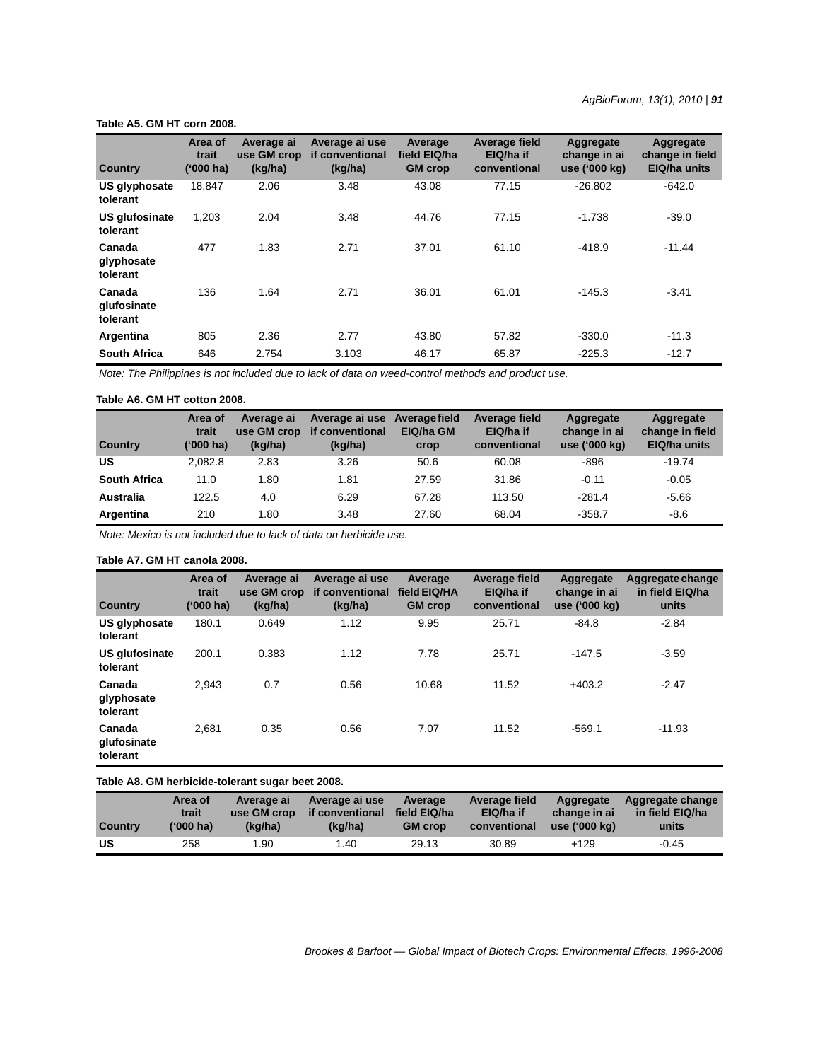#### **Table A5. GM HT corn 2008.**

| <b>Country</b>                    | Area of<br>trait<br>('000 ha) | Average ai<br>use GM crop<br>(kg/ha) | Average ai use<br>if conventional<br>(kg/ha) | Average<br>field EIQ/ha<br><b>GM</b> crop | <b>Average field</b><br>EIQ/ha if<br>conventional | Aggregate<br>change in ai<br>use ('000 kg) | Aggregate<br>change in field<br>EIQ/ha units |
|-----------------------------------|-------------------------------|--------------------------------------|----------------------------------------------|-------------------------------------------|---------------------------------------------------|--------------------------------------------|----------------------------------------------|
| US glyphosate<br>tolerant         | 18.847                        | 2.06                                 | 3.48                                         | 43.08                                     | 77.15                                             | $-26.802$                                  | $-642.0$                                     |
| <b>US glufosinate</b><br>tolerant | 1.203                         | 2.04                                 | 3.48                                         | 44.76                                     | 77.15                                             | $-1.738$                                   | $-39.0$                                      |
| Canada<br>glyphosate<br>tolerant  | 477                           | 1.83                                 | 2.71                                         | 37.01                                     | 61.10                                             | $-418.9$                                   | $-11.44$                                     |
| Canada<br>glufosinate<br>tolerant | 136                           | 1.64                                 | 2.71                                         | 36.01                                     | 61.01                                             | $-145.3$                                   | $-3.41$                                      |
| Argentina                         | 805                           | 2.36                                 | 2.77                                         | 43.80                                     | 57.82                                             | $-330.0$                                   | $-11.3$                                      |
| <b>South Africa</b>               | 646                           | 2.754                                | 3.103                                        | 46.17                                     | 65.87                                             | $-225.3$                                   | $-12.7$                                      |

*Note: The Philippines is not included due to lack of data on weed-control methods and product use.*

### **Table A6. GM HT cotton 2008.**

| <b>Country</b>      | Area of<br>trait<br>('000 ha) | Average ai<br>use GM crop<br>(kq/ha) | Average ai use<br>if conventional<br>(kg/ha) | Average field<br>EIQ/ha GM<br>crop | Average field<br>EIQ/ha if<br>conventional | Aggregate<br>change in ai<br>use ('000 kg) | Aggregate<br>change in field<br>EIQ/ha units |
|---------------------|-------------------------------|--------------------------------------|----------------------------------------------|------------------------------------|--------------------------------------------|--------------------------------------------|----------------------------------------------|
| US                  | 2.082.8                       | 2.83                                 | 3.26                                         | 50.6                               | 60.08                                      | $-896$                                     | $-19.74$                                     |
| <b>South Africa</b> | 11.0                          | 1.80                                 | 1.81                                         | 27.59                              | 31.86                                      | $-0.11$                                    | $-0.05$                                      |
| Australia           | 122.5                         | 4.0                                  | 6.29                                         | 67.28                              | 113.50                                     | $-281.4$                                   | $-5.66$                                      |
| Argentina           | 210                           | 1.80                                 | 3.48                                         | 27.60                              | 68.04                                      | $-358.7$                                   | -8.6                                         |

*Note: Mexico is not included due to lack of data on herbicide use.*

# **Table A7. GM HT canola 2008.**

| <b>Country</b>                    | Area of<br>trait<br>$(000)$ ha) | Average ai<br>use GM crop<br>(kg/ha) | Average ai use<br>if conventional<br>(kg/ha) | Average<br>field EIQ/HA<br><b>GM</b> crop | Average field<br>EIQ/ha if<br>conventional | Aggregate<br>change in ai<br>use ('000 kg) | Aggregate change<br>in field EIQ/ha<br>units |
|-----------------------------------|---------------------------------|--------------------------------------|----------------------------------------------|-------------------------------------------|--------------------------------------------|--------------------------------------------|----------------------------------------------|
| US glyphosate<br>tolerant         | 180.1                           | 0.649                                | 1.12                                         | 9.95                                      | 25.71                                      | $-84.8$                                    | $-2.84$                                      |
| <b>US glufosinate</b><br>tolerant | 200.1                           | 0.383                                | 1.12                                         | 7.78                                      | 25.71                                      | $-147.5$                                   | $-3.59$                                      |
| Canada<br>glyphosate<br>tolerant  | 2.943                           | 0.7                                  | 0.56                                         | 10.68                                     | 11.52                                      | $+403.2$                                   | $-2.47$                                      |
| Canada<br>glufosinate<br>tolerant | 2.681                           | 0.35                                 | 0.56                                         | 7.07                                      | 11.52                                      | $-569.1$                                   | $-11.93$                                     |

#### **Table A8. GM herbicide-tolerant sugar beet 2008.**

| <b>Country</b> | Area of   | Average ai  | Average ai use  | Average        | Average field | Aggregate     | Aggregate change |
|----------------|-----------|-------------|-----------------|----------------|---------------|---------------|------------------|
|                | trait     | use GM crop | if conventional | field EIQ/ha   | EIQ/ha if     | change in ai  | in field EIQ/ha  |
|                | ('000 ha) | (ka/ha)     | (ka/ha)         | <b>GM</b> crop | conventional  | use ('000 kg) | units            |
| US             | 258       | .90         | .40             | 29.13          | 30.89         | +129          | $-0.45$          |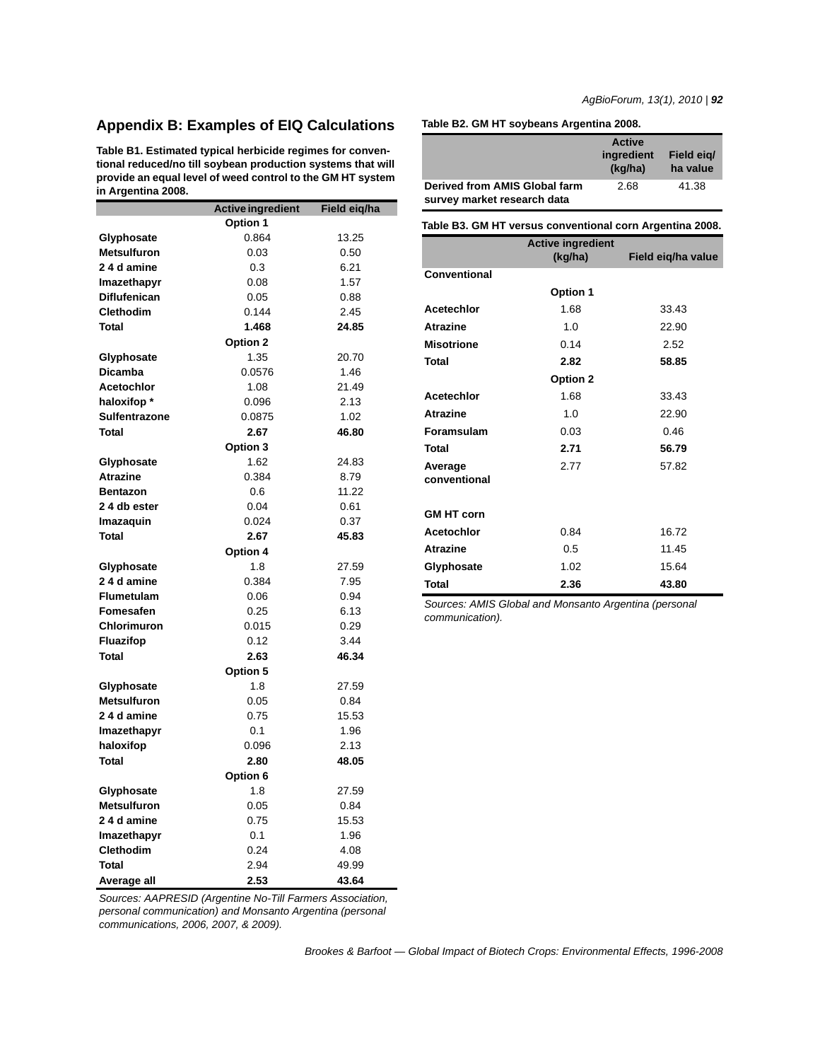# **Appendix B: Examples of EIQ Calculations**

**Table B1. Estimated typical herbicide regimes for conventional reduced/no till soybean production systems that will provide an equal level of weed control to the GM HT system in Argentina 2008.**

|                      | <b>Active ingredient</b> | Field eiq/ha |
|----------------------|--------------------------|--------------|
|                      | Option 1                 |              |
| Glyphosate           | 0.864                    | 13.25        |
| <b>Metsulfuron</b>   | 0.03                     | 0.50         |
| 2 4 d amine          | 0.3                      | 6.21         |
| Imazethapyr          | 0.08                     | 1.57         |
| <b>Diflufenican</b>  | 0.05                     | 0.88         |
| <b>Clethodim</b>     | 0.144                    | 2.45         |
| <b>Total</b>         | 1.468                    | 24.85        |
|                      | Option 2                 |              |
| Glyphosate           | 1.35                     | 20.70        |
| <b>Dicamba</b>       | 0.0576                   | 1.46         |
| <b>Acetochlor</b>    | 1.08                     | 21.49        |
| haloxifop *          | 0.096                    | 2.13         |
| <b>Sulfentrazone</b> | 0.0875                   | 1.02         |
| <b>Total</b>         | 2.67                     | 46.80        |
|                      | Option 3                 |              |
| Glyphosate           | 1.62                     | 24.83        |
| <b>Atrazine</b>      | 0.384                    | 8.79         |
| <b>Bentazon</b>      | 0.6                      | 11.22        |
| 24 db ester          | 0.04                     | 0.61         |
| Imazaquin            | 0.024                    | 0.37         |
| Total                | 2.67                     | 45.83        |
|                      | Option 4                 |              |
| Glyphosate           | 1.8                      | 27.59        |
| 24 d amine           | 0.384                    | 7.95         |
| <b>Flumetulam</b>    | 0.06                     | 0.94         |
| Fomesafen            | 0.25                     | 6.13         |
| <b>Chlorimuron</b>   | 0.015                    | 0.29         |
| <b>Fluazifop</b>     | 0.12                     | 3.44         |
| Total                | 2.63                     | 46.34        |
|                      | Option 5                 |              |
| Glyphosate           | 1.8                      | 27.59        |
| <b>Metsulfuron</b>   | 0.05                     | 0.84         |
| 24 d amine           | 0.75                     | 15.53        |
| Imazethapyr          | 0.1                      | 1.96         |
| haloxifop            | 0.096                    | 2.13         |
| <b>Total</b>         | 2.80                     | 48.05        |
|                      | Option 6                 |              |
| Glyphosate           | 1.8                      | 27.59        |
| <b>Metsulfuron</b>   | 0.05                     | 0.84         |
| 24 d amine           | 0.75                     | 15.53        |
| Imazethapyr          | 0.1                      | 1.96         |
| <b>Clethodim</b>     | 0.24                     | 4.08         |
| Total                | 2.94                     | 49.99        |
| Average all          | 2.53                     | 43.64        |

**Table B2. GM HT soybeans Argentina 2008.**

|                                                              |                                     | <b>Active</b><br>ingredient<br>(kg/ha) | Field eig/<br>ha value |  |
|--------------------------------------------------------------|-------------------------------------|----------------------------------------|------------------------|--|
| Derived from AMIS Global farm<br>survey market research data |                                     | 2.68                                   | 41.38                  |  |
| Table B3. GM HT versus conventional corn Argentina 2008.     |                                     |                                        |                        |  |
|                                                              | <b>Active ingredient</b><br>(kg/ha) |                                        | Field eig/ha value     |  |
| Conventional                                                 |                                     |                                        |                        |  |
|                                                              | Option 1                            |                                        |                        |  |
| A satsalalan                                                 | $\sim$                              |                                        | nn 10                  |  |

| Acetechlor              | 1.68     | 33.43 |
|-------------------------|----------|-------|
| <b>Atrazine</b>         | 1.0      | 22.90 |
| <b>Misotrione</b>       | 0.14     | 2.52  |
| Total                   | 2.82     | 58.85 |
|                         | Option 2 |       |
| Acetechlor              | 1.68     | 33.43 |
| <b>Atrazine</b>         | 1.0      | 22.90 |
| Foramsulam              | 0.03     | 0.46  |
| Total                   | 2.71     | 56.79 |
| Average<br>conventional | 2.77     | 57.82 |
|                         |          |       |
| <b>GM HT corn</b>       |          |       |
| Acetochlor              | 0.84     | 16.72 |
| <b>Atrazine</b>         | 0.5      | 11.45 |
| Glyphosate              | 1.02     | 15.64 |
| <b>Total</b>            | 2.36     | 43.80 |

*Sources: AMIS Global and Monsanto Argentina (personal communication).*

*Sources: AAPRESID (Argentine No-Till Farmers Association, personal communication) and Monsanto Argentina (personal communications, 2006, 2007, & 2009).*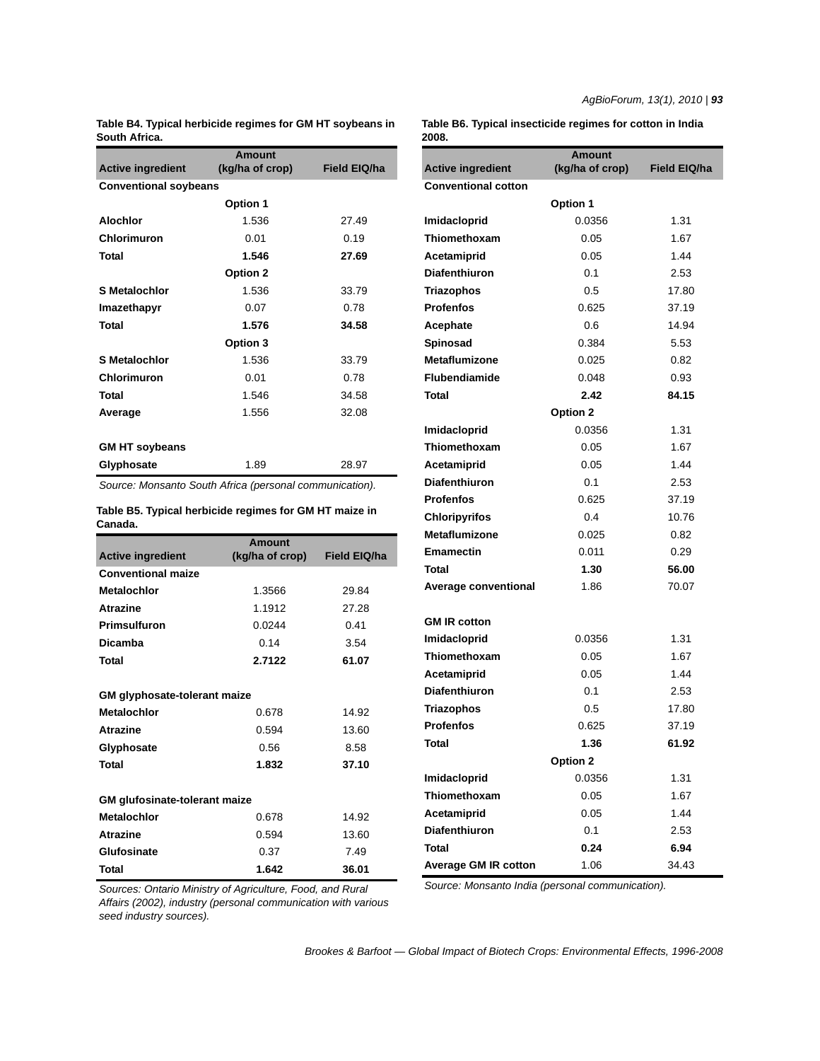**Table B4. Typical herbicide regimes for GM HT soybeans in South Africa.**

|                              | Amount          |                     |  |  |  |
|------------------------------|-----------------|---------------------|--|--|--|
| <b>Active ingredient</b>     | (kg/ha of crop) | <b>Field EIQ/ha</b> |  |  |  |
| <b>Conventional soybeans</b> |                 |                     |  |  |  |
|                              | <b>Option 1</b> |                     |  |  |  |
| <b>Alochlor</b>              | 1.536           | 27.49               |  |  |  |
| Chlorimuron                  | 0.01            | 0.19                |  |  |  |
| <b>Total</b>                 | 1.546           | 27.69               |  |  |  |
|                              | Option 2        |                     |  |  |  |
| <b>S</b> Metalochlor         | 1.536           | 33.79               |  |  |  |
| Imazethapyr                  | 0.07            | 0.78                |  |  |  |
| Total                        | 1.576           | 34.58               |  |  |  |
|                              | Option 3        |                     |  |  |  |
| <b>S</b> Metalochlor         | 1.536           | 33.79               |  |  |  |
| Chlorimuron                  | 0.01            | 0.78                |  |  |  |
| <b>Total</b>                 | 1.546           | 34.58               |  |  |  |
| Average                      | 1.556           | 32.08               |  |  |  |
|                              |                 |                     |  |  |  |
| <b>GM HT soybeans</b>        |                 |                     |  |  |  |
| Glyphosate                   | 1.89            | 28.97               |  |  |  |

*Source: Monsanto South Africa (personal communication).*

**Table B5. Typical herbicide regimes for GM HT maize in Canada.**

|                                      | Amount          |              |
|--------------------------------------|-----------------|--------------|
| <b>Active ingredient</b>             | (kg/ha of crop) | Field EIQ/ha |
| <b>Conventional maize</b>            |                 |              |
| <b>Metalochlor</b>                   | 1.3566          | 29.84        |
| <b>Atrazine</b>                      | 1.1912          | 27.28        |
| Primsulfuron                         | 0.0244          | 0.41         |
| <b>Dicamba</b>                       | 0.14            | 3.54         |
| Total                                | 2.7122          | 61.07        |
|                                      |                 |              |
| <b>GM</b> glyphosate-tolerant maize  |                 |              |
| <b>Metalochlor</b>                   | 0.678           | 14.92        |
| <b>Atrazine</b>                      | 0.594           | 13.60        |
| Glyphosate                           | 0.56            | 8.58         |
| <b>Total</b>                         | 1.832           | 37.10        |
|                                      |                 |              |
| <b>GM</b> glufosinate-tolerant maize |                 |              |
| <b>Metalochlor</b>                   | 0.678           | 14.92        |
| <b>Atrazine</b>                      | 0.594           | 13.60        |
| Glufosinate                          | 0.37            | 7.49         |
| Total                                | 1.642           | 36.01        |

**Table B6. Typical insecticide regimes for cotton in India 2008.**

| zvvo.                       |                                  |              |  |  |  |
|-----------------------------|----------------------------------|--------------|--|--|--|
| <b>Active ingredient</b>    | <b>Amount</b><br>(kg/ha of crop) | Field EIQ/ha |  |  |  |
| <b>Conventional cotton</b>  |                                  |              |  |  |  |
|                             | <b>Option 1</b>                  |              |  |  |  |
| Imidacloprid                | 0.0356                           | 1.31         |  |  |  |
| Thiomethoxam                | 0.05                             | 1.67         |  |  |  |
| Acetamiprid                 | 0.05                             | 1.44         |  |  |  |
| <b>Diafenthiuron</b>        | 0.1                              | 2.53         |  |  |  |
| Triazophos                  | 0.5                              | 17.80        |  |  |  |
| <b>Profenfos</b>            | 0.625                            | 37.19        |  |  |  |
| Acephate                    | 0.6                              | 14.94        |  |  |  |
| Spinosad                    | 0.384                            | 5.53         |  |  |  |
| <b>Metaflumizone</b>        | 0.025                            | 0.82         |  |  |  |
| <b>Flubendiamide</b>        | 0.048                            | 0.93         |  |  |  |
| <b>Total</b>                | 2.42                             | 84.15        |  |  |  |
|                             | Option 2                         |              |  |  |  |
| Imidacloprid                | 0.0356                           | 1.31         |  |  |  |
| Thiomethoxam                | 0.05                             | 1.67         |  |  |  |
| Acetamiprid                 | 0.05                             | 1.44         |  |  |  |
| <b>Diafenthiuron</b>        | 0.1                              | 2.53         |  |  |  |
| <b>Profenfos</b>            | 0.625                            | 37.19        |  |  |  |
| <b>Chloripyrifos</b>        | 0.4                              | 10.76        |  |  |  |
| <b>Metaflumizone</b>        | 0.025                            | 0.82         |  |  |  |
| <b>Emamectin</b>            | 0.011                            | 0.29         |  |  |  |
| <b>Total</b>                | 1.30                             | 56.00        |  |  |  |
| <b>Average conventional</b> | 1.86                             | 70.07        |  |  |  |
| <b>GM IR cotton</b>         |                                  |              |  |  |  |
| Imidacloprid                | 0.0356                           | 1.31         |  |  |  |
| Thiomethoxam                | 0.05                             | 1.67         |  |  |  |
| Acetamiprid                 | 0.05                             | 1.44         |  |  |  |
| <b>Diafenthiuron</b>        | 0.1                              | 2.53         |  |  |  |
| Triazophos                  | 0.5                              | 17.80        |  |  |  |
| <b>Profenfos</b>            | 0.625                            | 37.19        |  |  |  |
| Total                       | 1.36                             | 61.92        |  |  |  |
|                             | Option 2                         |              |  |  |  |
| Imidacloprid                | 0.0356                           | 1.31         |  |  |  |
| Thiomethoxam                | 0.05                             | 1.67         |  |  |  |
| Acetamiprid                 | 0.05                             | 1.44         |  |  |  |
| <b>Diafenthiuron</b>        | 0.1                              | 2.53         |  |  |  |
| Total                       | 0.24                             | 6.94         |  |  |  |
| <b>Average GM IR cotton</b> | 1.06                             | 34.43        |  |  |  |

*Sources: Ontario Ministry of Agriculture, Food, and Rural Affairs (2002), industry (personal communication with various seed industry sources).*

*Source: Monsanto India (personal communication).*